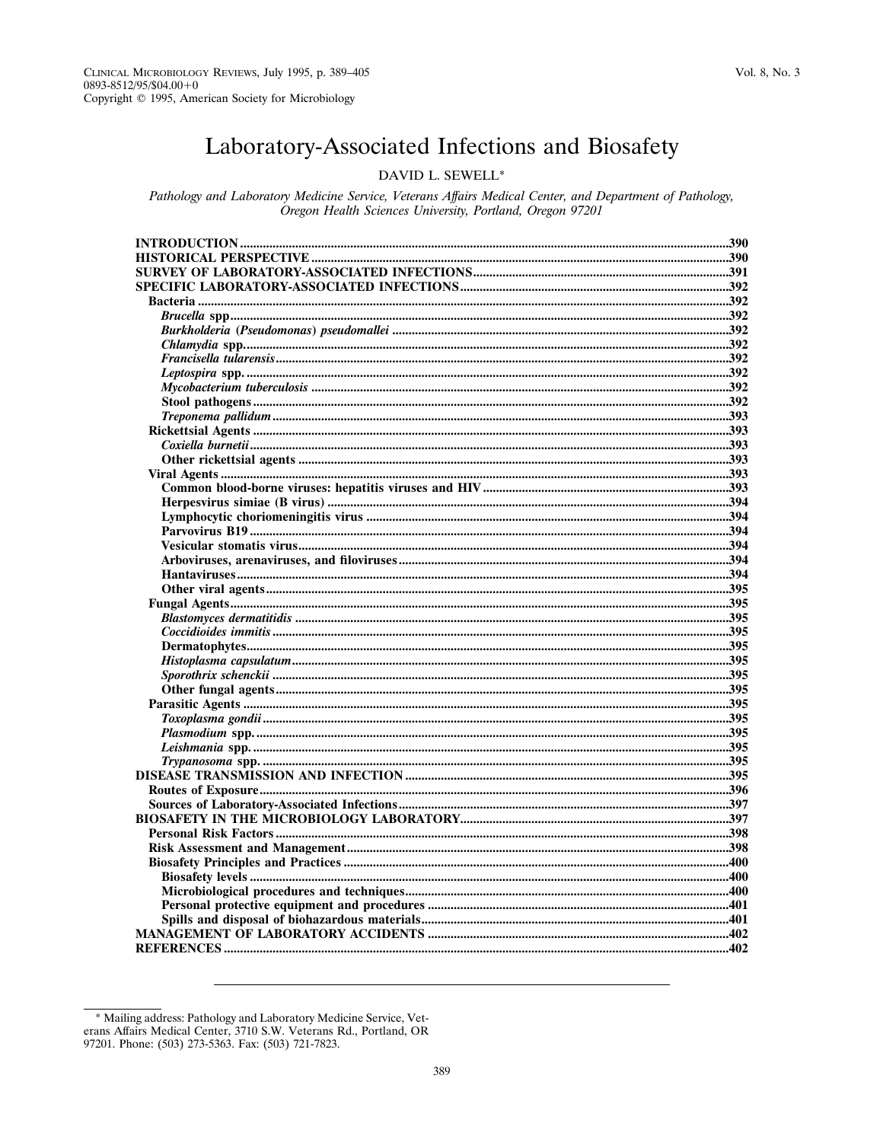# Laboratory-Associated Infections and Biosafety

## DAVID L. SEWELL\*

Pathology and Laboratory Medicine Service, Veterans Affairs Medical Center, and Department of Pathology, Oregon Health Sciences University, Portland, Oregon 97201

<sup>\*</sup> Mailing address: Pathology and Laboratory Medicine Service, Veterans Affairs Medical Center, 3710 S.W. Veterans Rd., Portland, OR 97201. Phone: (503) 273-5363. Fax: (503) 721-7823.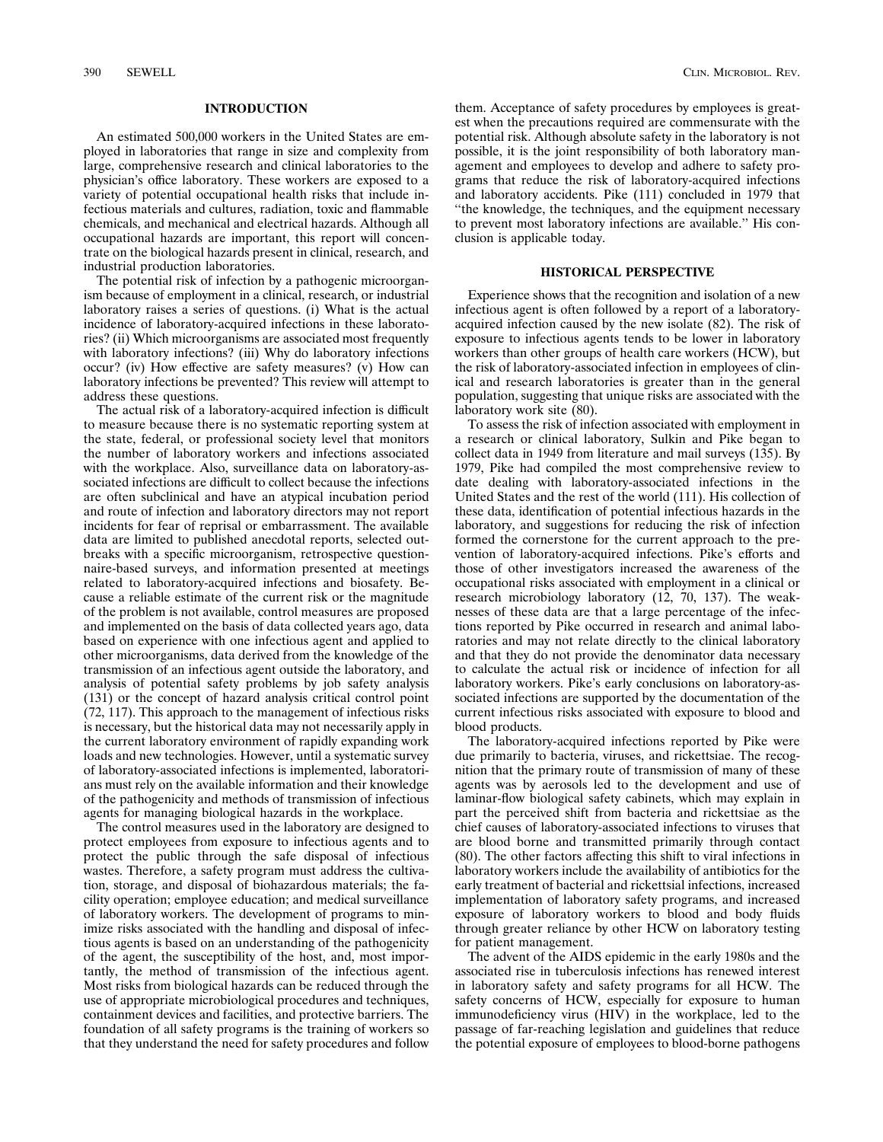#### **INTRODUCTION**

An estimated 500,000 workers in the United States are employed in laboratories that range in size and complexity from large, comprehensive research and clinical laboratories to the physician's office laboratory. These workers are exposed to a variety of potential occupational health risks that include infectious materials and cultures, radiation, toxic and flammable chemicals, and mechanical and electrical hazards. Although all occupational hazards are important, this report will concentrate on the biological hazards present in clinical, research, and industrial production laboratories.

The potential risk of infection by a pathogenic microorganism because of employment in a clinical, research, or industrial laboratory raises a series of questions. (i) What is the actual incidence of laboratory-acquired infections in these laboratories? (ii) Which microorganisms are associated most frequently with laboratory infections? (iii) Why do laboratory infections occur? (iv) How effective are safety measures? (v) How can laboratory infections be prevented? This review will attempt to address these questions.

The actual risk of a laboratory-acquired infection is difficult to measure because there is no systematic reporting system at the state, federal, or professional society level that monitors the number of laboratory workers and infections associated with the workplace. Also, surveillance data on laboratory-associated infections are difficult to collect because the infections are often subclinical and have an atypical incubation period and route of infection and laboratory directors may not report incidents for fear of reprisal or embarrassment. The available data are limited to published anecdotal reports, selected outbreaks with a specific microorganism, retrospective questionnaire-based surveys, and information presented at meetings related to laboratory-acquired infections and biosafety. Because a reliable estimate of the current risk or the magnitude of the problem is not available, control measures are proposed and implemented on the basis of data collected years ago, data based on experience with one infectious agent and applied to other microorganisms, data derived from the knowledge of the transmission of an infectious agent outside the laboratory, and analysis of potential safety problems by job safety analysis (131) or the concept of hazard analysis critical control point (72, 117). This approach to the management of infectious risks is necessary, but the historical data may not necessarily apply in the current laboratory environment of rapidly expanding work loads and new technologies. However, until a systematic survey of laboratory-associated infections is implemented, laboratorians must rely on the available information and their knowledge of the pathogenicity and methods of transmission of infectious agents for managing biological hazards in the workplace.

The control measures used in the laboratory are designed to protect employees from exposure to infectious agents and to protect the public through the safe disposal of infectious wastes. Therefore, a safety program must address the cultivation, storage, and disposal of biohazardous materials; the facility operation; employee education; and medical surveillance of laboratory workers. The development of programs to minimize risks associated with the handling and disposal of infectious agents is based on an understanding of the pathogenicity of the agent, the susceptibility of the host, and, most importantly, the method of transmission of the infectious agent. Most risks from biological hazards can be reduced through the use of appropriate microbiological procedures and techniques, containment devices and facilities, and protective barriers. The foundation of all safety programs is the training of workers so that they understand the need for safety procedures and follow them. Acceptance of safety procedures by employees is greatest when the precautions required are commensurate with the potential risk. Although absolute safety in the laboratory is not possible, it is the joint responsibility of both laboratory management and employees to develop and adhere to safety programs that reduce the risk of laboratory-acquired infections and laboratory accidents. Pike (111) concluded in 1979 that ''the knowledge, the techniques, and the equipment necessary to prevent most laboratory infections are available.'' His conclusion is applicable today.

#### **HISTORICAL PERSPECTIVE**

Experience shows that the recognition and isolation of a new infectious agent is often followed by a report of a laboratoryacquired infection caused by the new isolate (82). The risk of exposure to infectious agents tends to be lower in laboratory workers than other groups of health care workers (HCW), but the risk of laboratory-associated infection in employees of clinical and research laboratories is greater than in the general population, suggesting that unique risks are associated with the laboratory work site (80).

To assess the risk of infection associated with employment in a research or clinical laboratory, Sulkin and Pike began to collect data in 1949 from literature and mail surveys (135). By 1979, Pike had compiled the most comprehensive review to date dealing with laboratory-associated infections in the United States and the rest of the world (111). His collection of these data, identification of potential infectious hazards in the laboratory, and suggestions for reducing the risk of infection formed the cornerstone for the current approach to the prevention of laboratory-acquired infections. Pike's efforts and those of other investigators increased the awareness of the occupational risks associated with employment in a clinical or research microbiology laboratory (12, 70, 137). The weaknesses of these data are that a large percentage of the infections reported by Pike occurred in research and animal laboratories and may not relate directly to the clinical laboratory and that they do not provide the denominator data necessary to calculate the actual risk or incidence of infection for all laboratory workers. Pike's early conclusions on laboratory-associated infections are supported by the documentation of the current infectious risks associated with exposure to blood and blood products.

The laboratory-acquired infections reported by Pike were due primarily to bacteria, viruses, and rickettsiae. The recognition that the primary route of transmission of many of these agents was by aerosols led to the development and use of laminar-flow biological safety cabinets, which may explain in part the perceived shift from bacteria and rickettsiae as the chief causes of laboratory-associated infections to viruses that are blood borne and transmitted primarily through contact (80). The other factors affecting this shift to viral infections in laboratory workers include the availability of antibiotics for the early treatment of bacterial and rickettsial infections, increased implementation of laboratory safety programs, and increased exposure of laboratory workers to blood and body fluids through greater reliance by other HCW on laboratory testing for patient management.

The advent of the AIDS epidemic in the early 1980s and the associated rise in tuberculosis infections has renewed interest in laboratory safety and safety programs for all HCW. The safety concerns of HCW, especially for exposure to human immunodeficiency virus (HIV) in the workplace, led to the passage of far-reaching legislation and guidelines that reduce the potential exposure of employees to blood-borne pathogens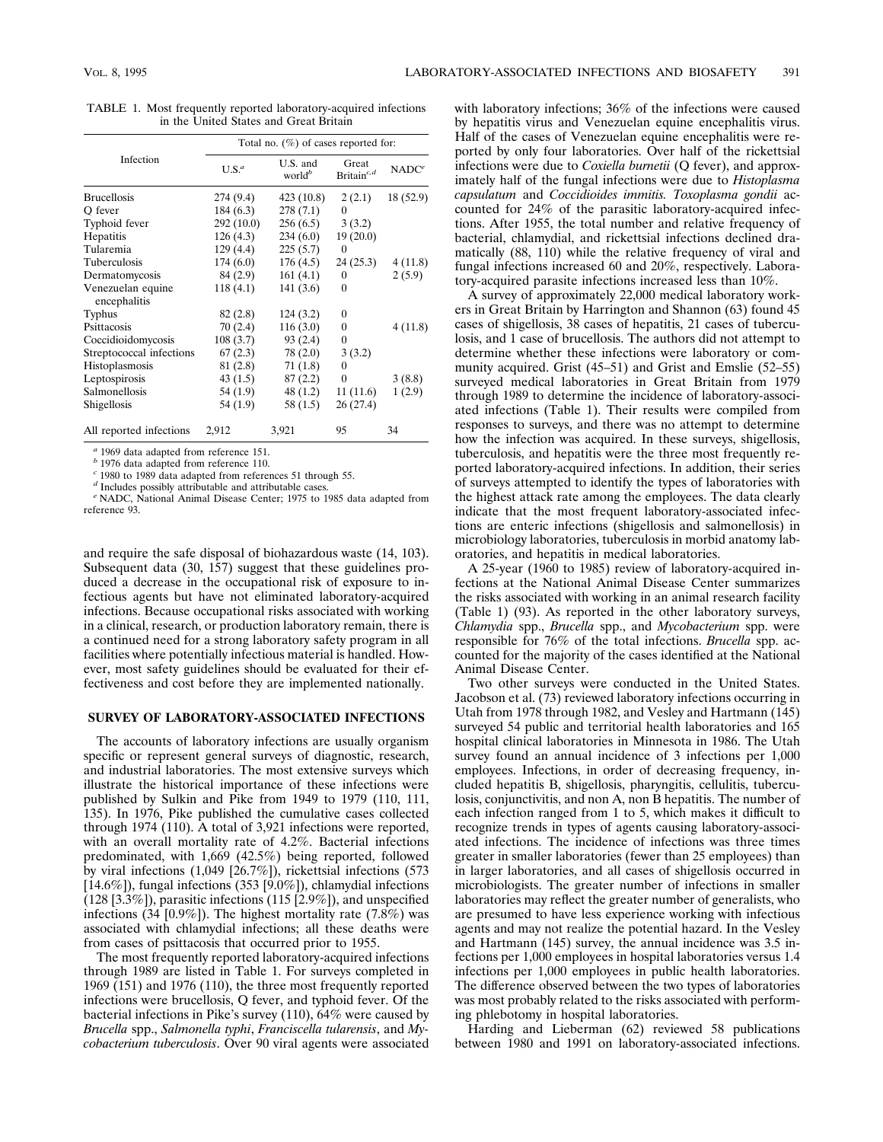| Total no. $(\%)$ of cases reported for: |           |                                |                                  |                   |  |
|-----------------------------------------|-----------|--------------------------------|----------------------------------|-------------------|--|
| Infection                               | $U.S.^a$  | U.S. and<br>world <sup>b</sup> | Great<br>Britain <sup>c, d</sup> | NADC <sup>e</sup> |  |
| <b>Brucellosis</b>                      | 274 (9.4) | 423(10.8)                      | 2(2.1)                           | 18 (52.9)         |  |
| O fever                                 | 184(6.3)  | 278(7.1)                       | $\theta$                         |                   |  |
| Typhoid fever                           | 292(10.0) | 256(6.5)                       | 3(3.2)                           |                   |  |
| Hepatitis                               | 126(4.3)  | 234(6.0)                       | 19(20.0)                         |                   |  |
| Tularemia                               | 129(4.4)  | 225(5.7)                       | $\theta$                         |                   |  |
| Tuberculosis                            | 174(6.0)  | 176(4.5)                       | 24(25.3)                         | 4(11.8)           |  |
| Dermatomycosis                          | 84 (2.9)  | 161(4.1)                       | 0                                | 2(5.9)            |  |
| Venezuelan equine<br>encephalitis       | 118(4.1)  | 141(3.6)                       | $\theta$                         |                   |  |
| <b>Typhus</b>                           | 82 (2.8)  | 124(3.2)                       | 0                                |                   |  |
| Psittacosis                             | 70(2.4)   | 116(3.0)                       | $\boldsymbol{0}$                 | 4(11.8)           |  |
| Coccidioidomycosis                      | 108(3.7)  | 93(2.4)                        | 0                                |                   |  |
| Streptococcal infections                | 67(2.3)   | 78(2.0)                        | 3(3.2)                           |                   |  |
| Histoplasmosis                          | 81(2.8)   | 71(1.8)                        | 0                                |                   |  |
| Leptospirosis                           | 43(1.5)   | 87(2.2)                        | $\boldsymbol{0}$                 | 3(8.8)            |  |
| <b>Salmonellosis</b>                    | 54 (1.9)  | 48(1.2)                        | 11(11.6)                         | 1(2.9)            |  |
| Shigellosis                             | 54 (1.9)  | 58 (1.5)                       | 26(27.4)                         |                   |  |
| All reported infections                 | 2,912     | 3,921                          | 95                               | 34                |  |

TABLE 1. Most frequently reported laboratory-acquired infections in the United States and Great Britain

*<sup>a</sup>* 1969 data adapted from reference 151.

*b* 1976 data adapted from reference 110.

*<sup>c</sup>* 1980 to 1989 data adapted from references 51 through 55.

*<sup>d</sup>* Includes possibly attributable and attributable cases.

*<sup>e</sup>* NADC, National Animal Disease Center; 1975 to 1985 data adapted from reference 93.

and require the safe disposal of biohazardous waste (14, 103). Subsequent data (30, 157) suggest that these guidelines produced a decrease in the occupational risk of exposure to infectious agents but have not eliminated laboratory-acquired infections. Because occupational risks associated with working in a clinical, research, or production laboratory remain, there is a continued need for a strong laboratory safety program in all facilities where potentially infectious material is handled. However, most safety guidelines should be evaluated for their effectiveness and cost before they are implemented nationally.

#### **SURVEY OF LABORATORY-ASSOCIATED INFECTIONS**

The accounts of laboratory infections are usually organism specific or represent general surveys of diagnostic, research, and industrial laboratories. The most extensive surveys which illustrate the historical importance of these infections were published by Sulkin and Pike from 1949 to 1979 (110, 111, 135). In 1976, Pike published the cumulative cases collected through 1974 (110). A total of 3,921 infections were reported, with an overall mortality rate of 4.2%. Bacterial infections predominated, with 1,669 (42.5%) being reported, followed by viral infections (1,049 [26.7%]), rickettsial infections (573 [14.6%]), fungal infections (353 [9.0%]), chlamydial infections (128 [3.3%]), parasitic infections (115 [2.9%]), and unspecified infections (34 [0.9%]). The highest mortality rate  $(7.8\%)$  was associated with chlamydial infections; all these deaths were from cases of psittacosis that occurred prior to 1955.

The most frequently reported laboratory-acquired infections through 1989 are listed in Table 1. For surveys completed in 1969 (151) and 1976 (110), the three most frequently reported infections were brucellosis, Q fever, and typhoid fever. Of the bacterial infections in Pike's survey (110), 64% were caused by *Brucella* spp., *Salmonella typhi*, *Franciscella tularensis*, and *Mycobacterium tuberculosis*. Over 90 viral agents were associated

with laboratory infections; 36% of the infections were caused by hepatitis virus and Venezuelan equine encephalitis virus. Half of the cases of Venezuelan equine encephalitis were reported by only four laboratories. Over half of the rickettsial infections were due to *Coxiella burnetii* (Q fever), and approximately half of the fungal infections were due to *Histoplasma capsulatum* and *Coccidioides immitis. Toxoplasma gondii* accounted for 24% of the parasitic laboratory-acquired infections. After 1955, the total number and relative frequency of bacterial, chlamydial, and rickettsial infections declined dramatically (88, 110) while the relative frequency of viral and fungal infections increased 60 and 20%, respectively. Laboratory-acquired parasite infections increased less than 10%.

A survey of approximately 22,000 medical laboratory workers in Great Britain by Harrington and Shannon (63) found 45 cases of shigellosis, 38 cases of hepatitis, 21 cases of tuberculosis, and 1 case of brucellosis. The authors did not attempt to determine whether these infections were laboratory or community acquired. Grist (45–51) and Grist and Emslie (52–55) surveyed medical laboratories in Great Britain from 1979 through 1989 to determine the incidence of laboratory-associated infections (Table 1). Their results were compiled from responses to surveys, and there was no attempt to determine how the infection was acquired. In these surveys, shigellosis, tuberculosis, and hepatitis were the three most frequently reported laboratory-acquired infections. In addition, their series of surveys attempted to identify the types of laboratories with the highest attack rate among the employees. The data clearly indicate that the most frequent laboratory-associated infections are enteric infections (shigellosis and salmonellosis) in microbiology laboratories, tuberculosis in morbid anatomy laboratories, and hepatitis in medical laboratories.

A 25-year (1960 to 1985) review of laboratory-acquired infections at the National Animal Disease Center summarizes the risks associated with working in an animal research facility (Table 1) (93). As reported in the other laboratory surveys, *Chlamydia* spp., *Brucella* spp., and *Mycobacterium* spp. were responsible for 76% of the total infections. *Brucella* spp. accounted for the majority of the cases identified at the National Animal Disease Center.

Two other surveys were conducted in the United States. Jacobson et al. (73) reviewed laboratory infections occurring in Utah from 1978 through 1982, and Vesley and Hartmann (145) surveyed 54 public and territorial health laboratories and 165 hospital clinical laboratories in Minnesota in 1986. The Utah survey found an annual incidence of 3 infections per 1,000 employees. Infections, in order of decreasing frequency, included hepatitis B, shigellosis, pharyngitis, cellulitis, tuberculosis, conjunctivitis, and non A, non B hepatitis. The number of each infection ranged from 1 to 5, which makes it difficult to recognize trends in types of agents causing laboratory-associated infections. The incidence of infections was three times greater in smaller laboratories (fewer than 25 employees) than in larger laboratories, and all cases of shigellosis occurred in microbiologists. The greater number of infections in smaller laboratories may reflect the greater number of generalists, who are presumed to have less experience working with infectious agents and may not realize the potential hazard. In the Vesley and Hartmann (145) survey, the annual incidence was 3.5 infections per 1,000 employees in hospital laboratories versus 1.4 infections per 1,000 employees in public health laboratories. The difference observed between the two types of laboratories was most probably related to the risks associated with performing phlebotomy in hospital laboratories.

Harding and Lieberman (62) reviewed 58 publications between 1980 and 1991 on laboratory-associated infections.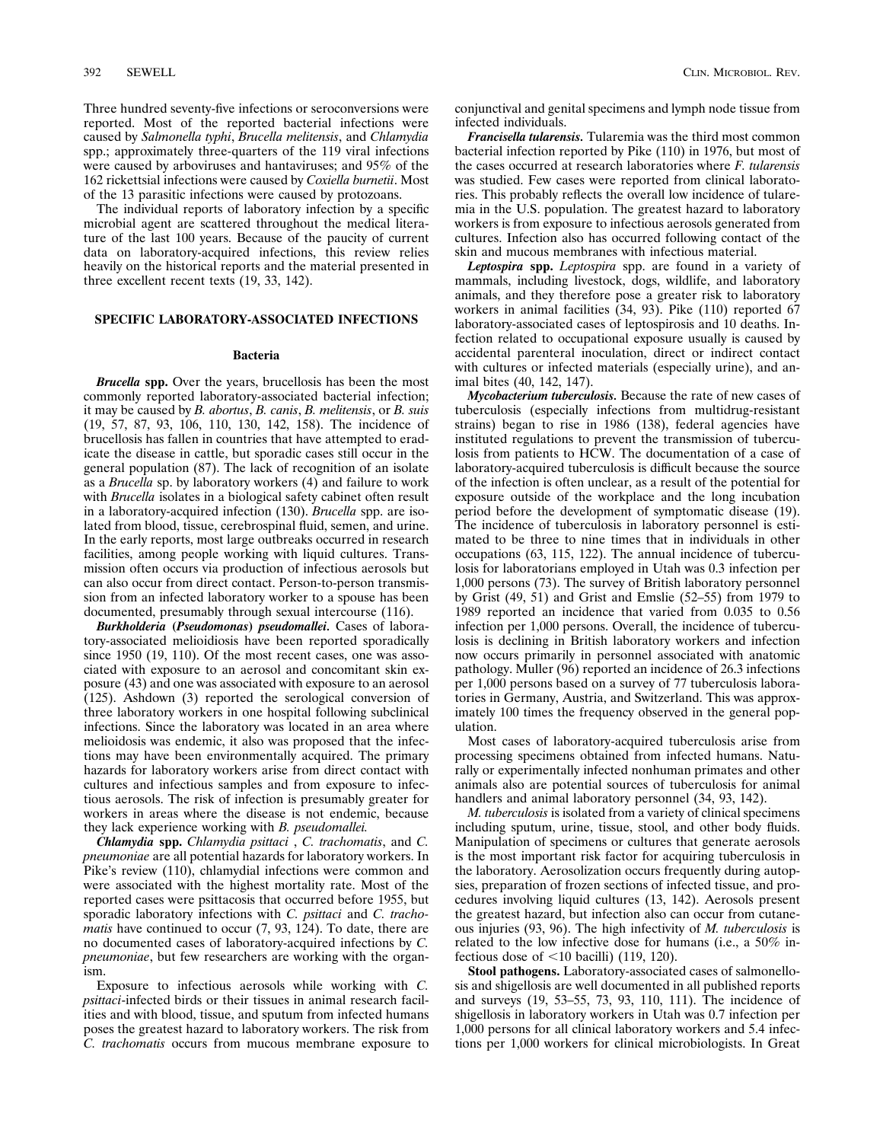Three hundred seventy-five infections or seroconversions were reported. Most of the reported bacterial infections were caused by *Salmonella typhi*, *Brucella melitensis*, and *Chlamydia* spp.; approximately three-quarters of the 119 viral infections

were caused by arboviruses and hantaviruses; and 95% of the 162 rickettsial infections were caused by *Coxiella burnetii*. Most of the 13 parasitic infections were caused by protozoans. The individual reports of laboratory infection by a specific

microbial agent are scattered throughout the medical literature of the last 100 years. Because of the paucity of current data on laboratory-acquired infections, this review relies heavily on the historical reports and the material presented in three excellent recent texts (19, 33, 142).

## **SPECIFIC LABORATORY-ASSOCIATED INFECTIONS**

## **Bacteria**

*Brucella* **spp.** Over the years, brucellosis has been the most commonly reported laboratory-associated bacterial infection; it may be caused by *B. abortus*, *B. canis*, *B. melitensis*, or *B. suis* (19, 57, 87, 93, 106, 110, 130, 142, 158). The incidence of brucellosis has fallen in countries that have attempted to eradicate the disease in cattle, but sporadic cases still occur in the general population (87). The lack of recognition of an isolate as a *Brucella* sp. by laboratory workers (4) and failure to work with *Brucella* isolates in a biological safety cabinet often result in a laboratory-acquired infection (130). *Brucella* spp. are isolated from blood, tissue, cerebrospinal fluid, semen, and urine. In the early reports, most large outbreaks occurred in research facilities, among people working with liquid cultures. Transmission often occurs via production of infectious aerosols but can also occur from direct contact. Person-to-person transmission from an infected laboratory worker to a spouse has been documented, presumably through sexual intercourse (116).

*Burkholderia* **(***Pseudomonas***)** *pseudomallei.* Cases of laboratory-associated melioidiosis have been reported sporadically since 1950 (19, 110). Of the most recent cases, one was associated with exposure to an aerosol and concomitant skin exposure (43) and one was associated with exposure to an aerosol (125). Ashdown (3) reported the serological conversion of three laboratory workers in one hospital following subclinical infections. Since the laboratory was located in an area where melioidosis was endemic, it also was proposed that the infections may have been environmentally acquired. The primary hazards for laboratory workers arise from direct contact with cultures and infectious samples and from exposure to infectious aerosols. The risk of infection is presumably greater for workers in areas where the disease is not endemic, because they lack experience working with *B. pseudomallei.*

*Chlamydia* **spp.** *Chlamydia psittaci* , *C. trachomatis*, and *C. pneumoniae* are all potential hazards for laboratory workers. In Pike's review (110), chlamydial infections were common and were associated with the highest mortality rate. Most of the reported cases were psittacosis that occurred before 1955, but sporadic laboratory infections with *C. psittaci* and *C. trachomatis* have continued to occur (7, 93, 124). To date, there are no documented cases of laboratory-acquired infections by *C. pneumoniae*, but few researchers are working with the organism.

Exposure to infectious aerosols while working with *C. psittaci*-infected birds or their tissues in animal research facilities and with blood, tissue, and sputum from infected humans poses the greatest hazard to laboratory workers. The risk from *C. trachomatis* occurs from mucous membrane exposure to

conjunctival and genital specimens and lymph node tissue from infected individuals.

*Francisella tularensis.* Tularemia was the third most common bacterial infection reported by Pike (110) in 1976, but most of the cases occurred at research laboratories where *F. tularensis* was studied. Few cases were reported from clinical laboratories. This probably reflects the overall low incidence of tularemia in the U.S. population. The greatest hazard to laboratory workers is from exposure to infectious aerosols generated from cultures. Infection also has occurred following contact of the skin and mucous membranes with infectious material.

*Leptospira* **spp.** *Leptospira* spp. are found in a variety of mammals, including livestock, dogs, wildlife, and laboratory animals, and they therefore pose a greater risk to laboratory workers in animal facilities (34, 93). Pike (110) reported 67 laboratory-associated cases of leptospirosis and 10 deaths. Infection related to occupational exposure usually is caused by accidental parenteral inoculation, direct or indirect contact with cultures or infected materials (especially urine), and animal bites (40, 142, 147).

*Mycobacterium tuberculosis.* Because the rate of new cases of tuberculosis (especially infections from multidrug-resistant strains) began to rise in 1986 (138), federal agencies have instituted regulations to prevent the transmission of tuberculosis from patients to HCW. The documentation of a case of laboratory-acquired tuberculosis is difficult because the source of the infection is often unclear, as a result of the potential for exposure outside of the workplace and the long incubation period before the development of symptomatic disease (19). The incidence of tuberculosis in laboratory personnel is estimated to be three to nine times that in individuals in other occupations (63, 115, 122). The annual incidence of tuberculosis for laboratorians employed in Utah was 0.3 infection per 1,000 persons (73). The survey of British laboratory personnel by Grist (49, 51) and Grist and Emslie (52–55) from 1979 to 1989 reported an incidence that varied from 0.035 to 0.56 infection per 1,000 persons. Overall, the incidence of tuberculosis is declining in British laboratory workers and infection now occurs primarily in personnel associated with anatomic pathology. Muller (96) reported an incidence of 26.3 infections per 1,000 persons based on a survey of 77 tuberculosis laboratories in Germany, Austria, and Switzerland. This was approximately 100 times the frequency observed in the general population.

Most cases of laboratory-acquired tuberculosis arise from processing specimens obtained from infected humans. Naturally or experimentally infected nonhuman primates and other animals also are potential sources of tuberculosis for animal handlers and animal laboratory personnel (34, 93, 142).

*M. tuberculosis* is isolated from a variety of clinical specimens including sputum, urine, tissue, stool, and other body fluids. Manipulation of specimens or cultures that generate aerosols is the most important risk factor for acquiring tuberculosis in the laboratory. Aerosolization occurs frequently during autopsies, preparation of frozen sections of infected tissue, and procedures involving liquid cultures (13, 142). Aerosols present the greatest hazard, but infection also can occur from cutaneous injuries (93, 96). The high infectivity of *M. tuberculosis* is related to the low infective dose for humans (i.e., a 50% infectious dose of  $\leq$ 10 bacilli) (119, 120).

**Stool pathogens.** Laboratory-associated cases of salmonellosis and shigellosis are well documented in all published reports and surveys (19, 53–55, 73, 93, 110, 111). The incidence of shigellosis in laboratory workers in Utah was 0.7 infection per 1,000 persons for all clinical laboratory workers and 5.4 infections per 1,000 workers for clinical microbiologists. In Great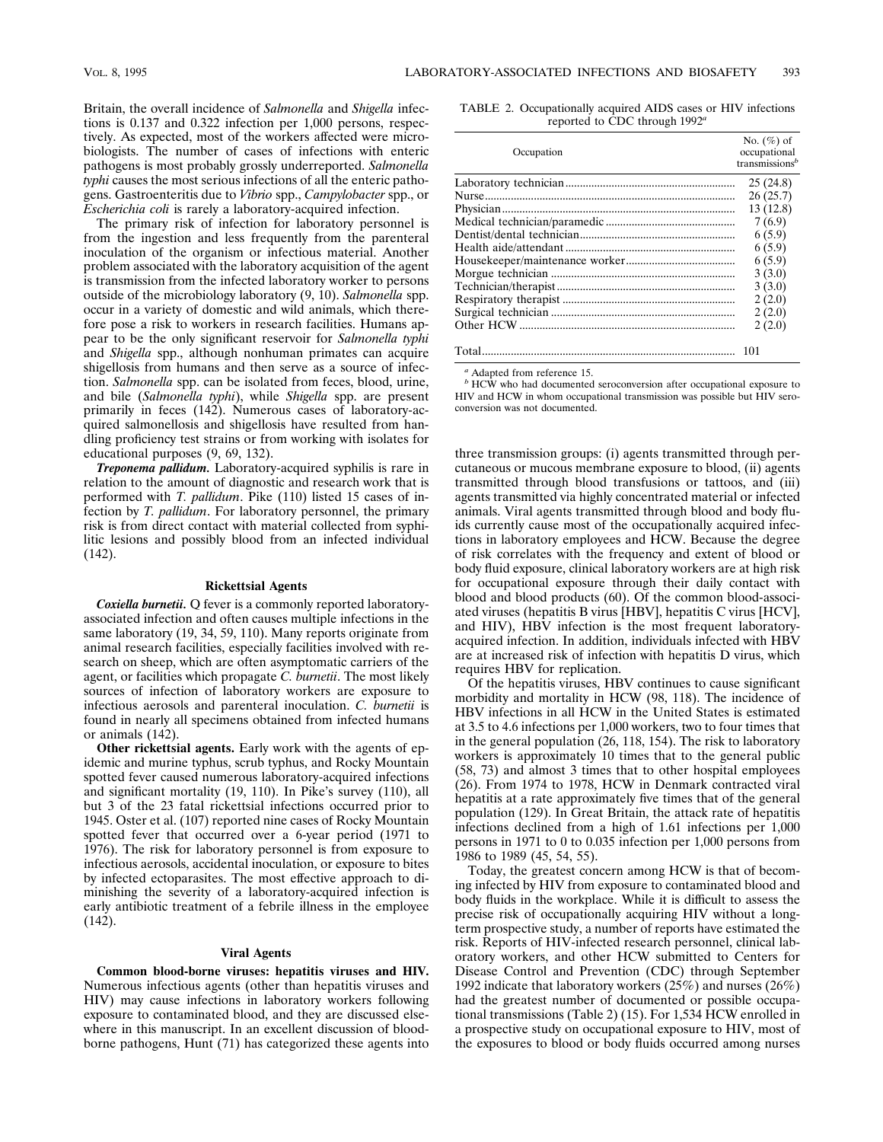Britain, the overall incidence of *Salmonella* and *Shigella* infections is 0.137 and 0.322 infection per 1,000 persons, respectively. As expected, most of the workers affected were microbiologists. The number of cases of infections with enteric pathogens is most probably grossly underreported. *Salmonella typhi* causes the most serious infections of all the enteric pathogens. Gastroenteritis due to *Vibrio* spp., *Campylobacter* spp., or *Escherichia coli* is rarely a laboratory-acquired infection.

The primary risk of infection for laboratory personnel is from the ingestion and less frequently from the parenteral inoculation of the organism or infectious material. Another problem associated with the laboratory acquisition of the agent is transmission from the infected laboratory worker to persons outside of the microbiology laboratory (9, 10). *Salmonella* spp. occur in a variety of domestic and wild animals, which therefore pose a risk to workers in research facilities. Humans appear to be the only significant reservoir for *Salmonella typhi* and *Shigella* spp., although nonhuman primates can acquire shigellosis from humans and then serve as a source of infection. *Salmonella* spp. can be isolated from feces, blood, urine, and bile (*Salmonella typhi*), while *Shigella* spp. are present primarily in feces (142). Numerous cases of laboratory-acquired salmonellosis and shigellosis have resulted from handling proficiency test strains or from working with isolates for educational purposes (9, 69, 132).

*Treponema pallidum.* Laboratory-acquired syphilis is rare in relation to the amount of diagnostic and research work that is performed with *T. pallidum*. Pike (110) listed 15 cases of infection by *T. pallidum*. For laboratory personnel, the primary risk is from direct contact with material collected from syphilitic lesions and possibly blood from an infected individual (142).

#### **Rickettsial Agents**

*Coxiella burnetii.* Q fever is a commonly reported laboratoryassociated infection and often causes multiple infections in the same laboratory (19, 34, 59, 110). Many reports originate from animal research facilities, especially facilities involved with research on sheep, which are often asymptomatic carriers of the agent, or facilities which propagate *C. burnetii*. The most likely sources of infection of laboratory workers are exposure to infectious aerosols and parenteral inoculation. *C. burnetii* is found in nearly all specimens obtained from infected humans or animals (142).

**Other rickettsial agents.** Early work with the agents of epidemic and murine typhus, scrub typhus, and Rocky Mountain spotted fever caused numerous laboratory-acquired infections and significant mortality (19, 110). In Pike's survey (110), all but 3 of the 23 fatal rickettsial infections occurred prior to 1945. Oster et al. (107) reported nine cases of Rocky Mountain spotted fever that occurred over a 6-year period (1971 to 1976). The risk for laboratory personnel is from exposure to infectious aerosols, accidental inoculation, or exposure to bites by infected ectoparasites. The most effective approach to diminishing the severity of a laboratory-acquired infection is early antibiotic treatment of a febrile illness in the employee (142).

### **Viral Agents**

**Common blood-borne viruses: hepatitis viruses and HIV.** Numerous infectious agents (other than hepatitis viruses and HIV) may cause infections in laboratory workers following exposure to contaminated blood, and they are discussed elsewhere in this manuscript. In an excellent discussion of bloodborne pathogens, Hunt (71) has categorized these agents into

TABLE 2. Occupationally acquired AIDS cases or HIV infections reported to CDC through 1992*<sup>a</sup>*

| Occupation | No. $(\%)$ of<br>occupational<br>transmissions <sup>b</sup> |
|------------|-------------------------------------------------------------|
|            | 25(24.8)                                                    |
|            | 26(25.7)                                                    |
|            | 13 (12.8)                                                   |
|            | 7(6.9)                                                      |
|            | 6(5.9)                                                      |
|            | 6(5.9)                                                      |
|            | 6(5.9)                                                      |
|            | 3(3.0)                                                      |
|            | 3(3.0)                                                      |
|            | 2(2.0)                                                      |
|            | 2(2.0)                                                      |
|            | 2(2.0)                                                      |
|            | 101                                                         |

*<sup>a</sup>* Adapted from reference 15.

*<sup>b</sup>* HCW who had documented seroconversion after occupational exposure to HIV and HCW in whom occupational transmission was possible but HIV seroconversion was not documented.

three transmission groups: (i) agents transmitted through percutaneous or mucous membrane exposure to blood, (ii) agents transmitted through blood transfusions or tattoos, and (iii) agents transmitted via highly concentrated material or infected animals. Viral agents transmitted through blood and body fluids currently cause most of the occupationally acquired infections in laboratory employees and HCW. Because the degree of risk correlates with the frequency and extent of blood or body fluid exposure, clinical laboratory workers are at high risk for occupational exposure through their daily contact with blood and blood products (60). Of the common blood-associated viruses (hepatitis B virus [HBV], hepatitis C virus [HCV], and HIV), HBV infection is the most frequent laboratoryacquired infection. In addition, individuals infected with HBV are at increased risk of infection with hepatitis D virus, which requires HBV for replication.

Of the hepatitis viruses, HBV continues to cause significant morbidity and mortality in HCW (98, 118). The incidence of HBV infections in all HCW in the United States is estimated at 3.5 to 4.6 infections per 1,000 workers, two to four times that in the general population (26, 118, 154). The risk to laboratory workers is approximately 10 times that to the general public (58, 73) and almost 3 times that to other hospital employees (26). From 1974 to 1978, HCW in Denmark contracted viral hepatitis at a rate approximately five times that of the general population (129). In Great Britain, the attack rate of hepatitis infections declined from a high of 1.61 infections per 1,000 persons in 1971 to 0 to 0.035 infection per 1,000 persons from 1986 to 1989 (45, 54, 55).

Today, the greatest concern among HCW is that of becoming infected by HIV from exposure to contaminated blood and body fluids in the workplace. While it is difficult to assess the precise risk of occupationally acquiring HIV without a longterm prospective study, a number of reports have estimated the risk. Reports of HIV-infected research personnel, clinical laboratory workers, and other HCW submitted to Centers for Disease Control and Prevention (CDC) through September 1992 indicate that laboratory workers (25%) and nurses (26%) had the greatest number of documented or possible occupational transmissions (Table 2) (15). For 1,534 HCW enrolled in a prospective study on occupational exposure to HIV, most of the exposures to blood or body fluids occurred among nurses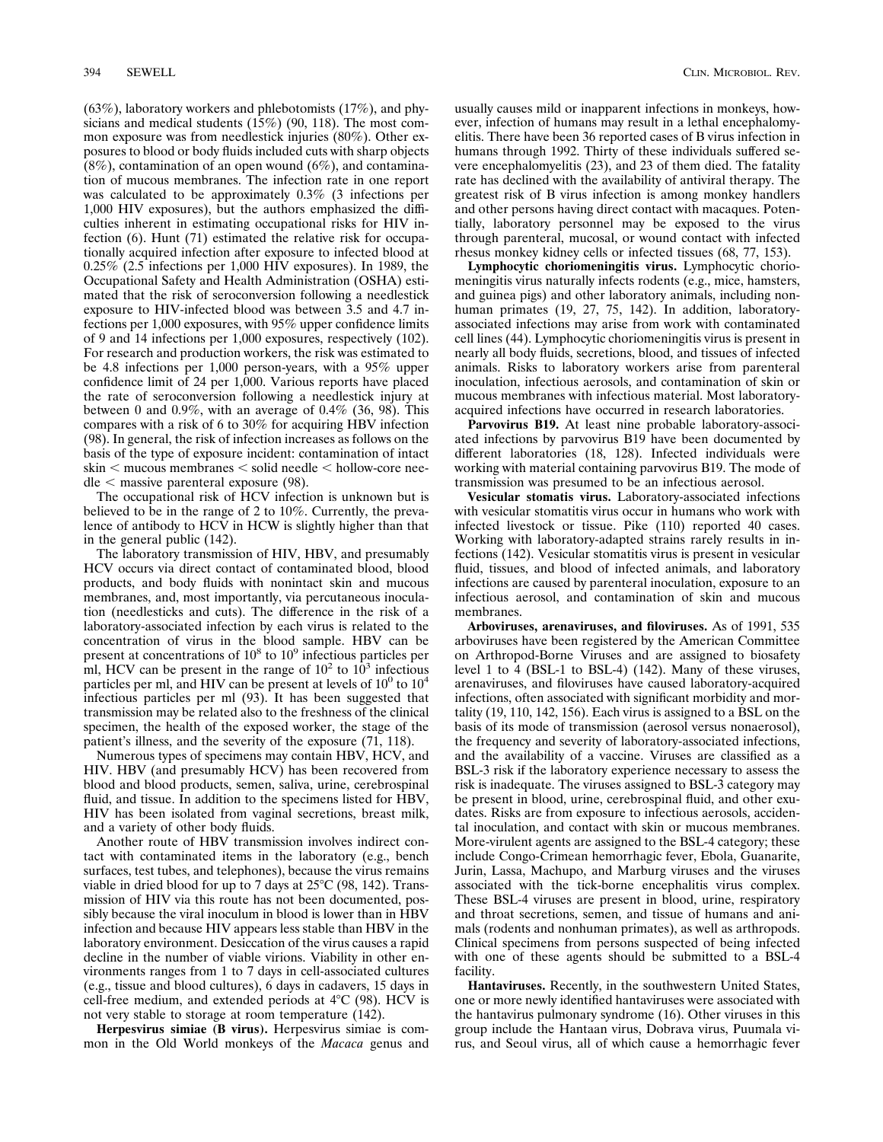(63%), laboratory workers and phlebotomists (17%), and physicians and medical students (15%) (90, 118). The most common exposure was from needlestick injuries (80%). Other exposures to blood or body fluids included cuts with sharp objects  $(8\%)$ , contamination of an open wound  $(6\%)$ , and contamination of mucous membranes. The infection rate in one report was calculated to be approximately 0.3% (3 infections per 1,000 HIV exposures), but the authors emphasized the difficulties inherent in estimating occupational risks for HIV infection (6). Hunt (71) estimated the relative risk for occupationally acquired infection after exposure to infected blood at 0.25% (2.5 infections per 1,000 HIV exposures). In 1989, the Occupational Safety and Health Administration (OSHA) estimated that the risk of seroconversion following a needlestick exposure to HIV-infected blood was between 3.5 and 4.7 infections per 1,000 exposures, with 95% upper confidence limits of 9 and 14 infections per 1,000 exposures, respectively (102). For research and production workers, the risk was estimated to be 4.8 infections per 1,000 person-years, with a 95% upper confidence limit of 24 per 1,000. Various reports have placed the rate of seroconversion following a needlestick injury at between 0 and 0.9%, with an average of 0.4%  $(36, 98)$ . This compares with a risk of 6 to 30% for acquiring HBV infection (98). In general, the risk of infection increases as follows on the basis of the type of exposure incident: contamination of intact  $s$ kin  $\lt$  mucous membranes  $\lt$  solid needle  $\lt$  hollow-core nee- $\text{dle}$  < massive parenteral exposure (98).

The occupational risk of HCV infection is unknown but is believed to be in the range of 2 to 10%. Currently, the prevalence of antibody to HCV in HCW is slightly higher than that in the general public (142).

The laboratory transmission of HIV, HBV, and presumably HCV occurs via direct contact of contaminated blood, blood products, and body fluids with nonintact skin and mucous membranes, and, most importantly, via percutaneous inoculation (needlesticks and cuts). The difference in the risk of a laboratory-associated infection by each virus is related to the concentration of virus in the blood sample. HBV can be present at concentrations of  $10^8$  to  $10^9$  infectious particles per ml, HCV can be present in the range of  $10^2$  to  $10^3$  infectious particles per ml, and HIV can be present at levels of  $10^0$  to  $10^4$ infectious particles per ml (93). It has been suggested that transmission may be related also to the freshness of the clinical specimen, the health of the exposed worker, the stage of the patient's illness, and the severity of the exposure (71, 118).

Numerous types of specimens may contain HBV, HCV, and HIV. HBV (and presumably HCV) has been recovered from blood and blood products, semen, saliva, urine, cerebrospinal fluid, and tissue. In addition to the specimens listed for HBV, HIV has been isolated from vaginal secretions, breast milk, and a variety of other body fluids.

Another route of HBV transmission involves indirect contact with contaminated items in the laboratory (e.g., bench surfaces, test tubes, and telephones), because the virus remains viable in dried blood for up to 7 days at  $25^{\circ}C$  (98, 142). Transmission of HIV via this route has not been documented, possibly because the viral inoculum in blood is lower than in HBV infection and because HIV appears less stable than HBV in the laboratory environment. Desiccation of the virus causes a rapid decline in the number of viable virions. Viability in other environments ranges from 1 to 7 days in cell-associated cultures (e.g., tissue and blood cultures), 6 days in cadavers, 15 days in cell-free medium, and extended periods at  $4^{\circ}C$  (98). HCV is not very stable to storage at room temperature (142).

**Herpesvirus simiae (B virus).** Herpesvirus simiae is common in the Old World monkeys of the *Macaca* genus and usually causes mild or inapparent infections in monkeys, however, infection of humans may result in a lethal encephalomyelitis. There have been 36 reported cases of B virus infection in humans through 1992. Thirty of these individuals suffered severe encephalomyelitis (23), and 23 of them died. The fatality rate has declined with the availability of antiviral therapy. The greatest risk of B virus infection is among monkey handlers and other persons having direct contact with macaques. Potentially, laboratory personnel may be exposed to the virus through parenteral, mucosal, or wound contact with infected rhesus monkey kidney cells or infected tissues (68, 77, 153).

**Lymphocytic choriomeningitis virus.** Lymphocytic choriomeningitis virus naturally infects rodents (e.g., mice, hamsters, and guinea pigs) and other laboratory animals, including nonhuman primates (19, 27, 75, 142). In addition, laboratoryassociated infections may arise from work with contaminated cell lines (44). Lymphocytic choriomeningitis virus is present in nearly all body fluids, secretions, blood, and tissues of infected animals. Risks to laboratory workers arise from parenteral inoculation, infectious aerosols, and contamination of skin or mucous membranes with infectious material. Most laboratoryacquired infections have occurred in research laboratories.

**Parvovirus B19.** At least nine probable laboratory-associated infections by parvovirus B19 have been documented by different laboratories (18, 128). Infected individuals were working with material containing parvovirus B19. The mode of transmission was presumed to be an infectious aerosol.

**Vesicular stomatis virus.** Laboratory-associated infections with vesicular stomatitis virus occur in humans who work with infected livestock or tissue. Pike (110) reported 40 cases. Working with laboratory-adapted strains rarely results in infections (142). Vesicular stomatitis virus is present in vesicular fluid, tissues, and blood of infected animals, and laboratory infections are caused by parenteral inoculation, exposure to an infectious aerosol, and contamination of skin and mucous membranes.

**Arboviruses, arenaviruses, and filoviruses.** As of 1991, 535 arboviruses have been registered by the American Committee on Arthropod-Borne Viruses and are assigned to biosafety level 1 to 4 (BSL-1 to BSL-4) (142). Many of these viruses, arenaviruses, and filoviruses have caused laboratory-acquired infections, often associated with significant morbidity and mortality (19, 110, 142, 156). Each virus is assigned to a BSL on the basis of its mode of transmission (aerosol versus nonaerosol), the frequency and severity of laboratory-associated infections, and the availability of a vaccine. Viruses are classified as a BSL-3 risk if the laboratory experience necessary to assess the risk is inadequate. The viruses assigned to BSL-3 category may be present in blood, urine, cerebrospinal fluid, and other exudates. Risks are from exposure to infectious aerosols, accidental inoculation, and contact with skin or mucous membranes. More-virulent agents are assigned to the BSL-4 category; these include Congo-Crimean hemorrhagic fever, Ebola, Guanarite, Jurin, Lassa, Machupo, and Marburg viruses and the viruses associated with the tick-borne encephalitis virus complex. These BSL-4 viruses are present in blood, urine, respiratory and throat secretions, semen, and tissue of humans and animals (rodents and nonhuman primates), as well as arthropods. Clinical specimens from persons suspected of being infected with one of these agents should be submitted to a BSL-4 facility.

**Hantaviruses.** Recently, in the southwestern United States, one or more newly identified hantaviruses were associated with the hantavirus pulmonary syndrome (16). Other viruses in this group include the Hantaan virus, Dobrava virus, Puumala virus, and Seoul virus, all of which cause a hemorrhagic fever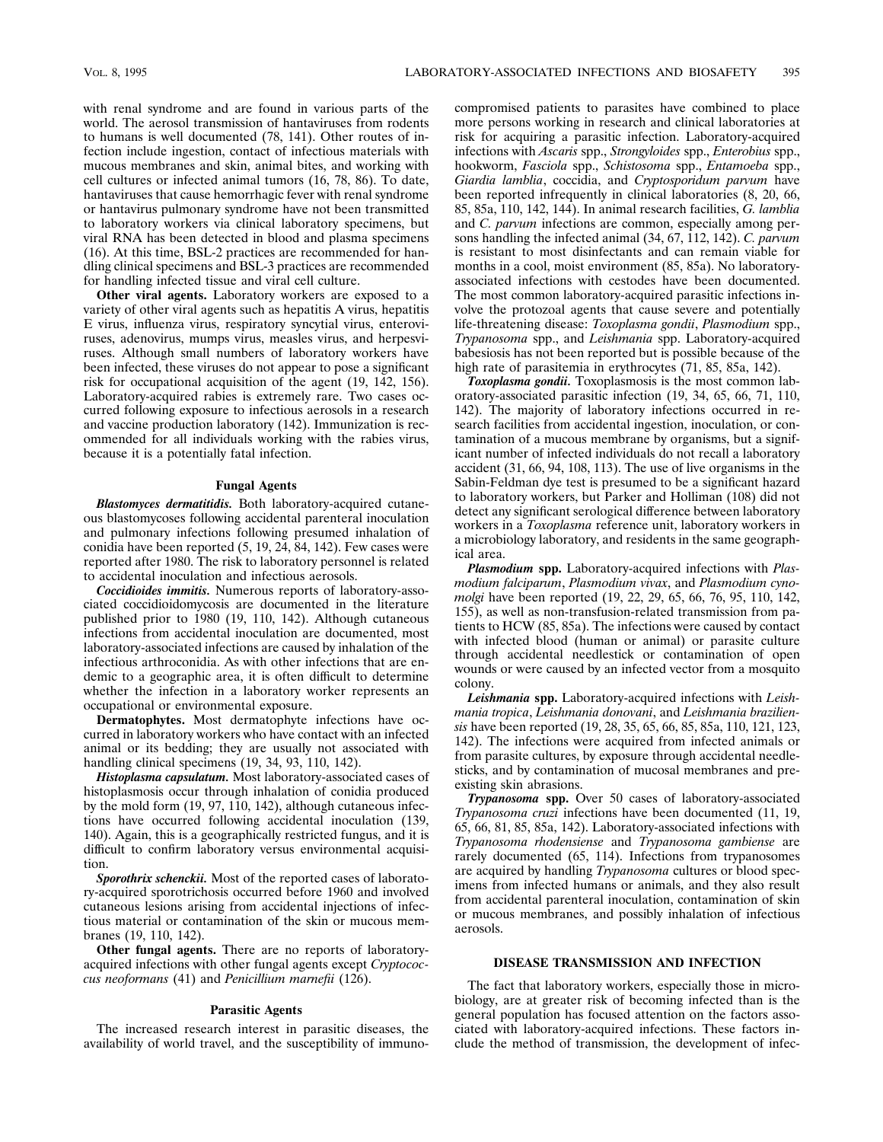with renal syndrome and are found in various parts of the world. The aerosol transmission of hantaviruses from rodents to humans is well documented (78, 141). Other routes of infection include ingestion, contact of infectious materials with mucous membranes and skin, animal bites, and working with cell cultures or infected animal tumors (16, 78, 86). To date, hantaviruses that cause hemorrhagic fever with renal syndrome or hantavirus pulmonary syndrome have not been transmitted to laboratory workers via clinical laboratory specimens, but viral RNA has been detected in blood and plasma specimens (16). At this time, BSL-2 practices are recommended for handling clinical specimens and BSL-3 practices are recommended for handling infected tissue and viral cell culture.

**Other viral agents.** Laboratory workers are exposed to a variety of other viral agents such as hepatitis A virus, hepatitis E virus, influenza virus, respiratory syncytial virus, enteroviruses, adenovirus, mumps virus, measles virus, and herpesviruses. Although small numbers of laboratory workers have been infected, these viruses do not appear to pose a significant risk for occupational acquisition of the agent (19, 142, 156). Laboratory-acquired rabies is extremely rare. Two cases occurred following exposure to infectious aerosols in a research and vaccine production laboratory (142). Immunization is recommended for all individuals working with the rabies virus, because it is a potentially fatal infection.

#### **Fungal Agents**

*Blastomyces dermatitidis.* Both laboratory-acquired cutaneous blastomycoses following accidental parenteral inoculation and pulmonary infections following presumed inhalation of conidia have been reported (5, 19, 24, 84, 142). Few cases were reported after 1980. The risk to laboratory personnel is related to accidental inoculation and infectious aerosols.

*Coccidioides immitis.* Numerous reports of laboratory-associated coccidioidomycosis are documented in the literature published prior to 1980 (19, 110, 142). Although cutaneous infections from accidental inoculation are documented, most laboratory-associated infections are caused by inhalation of the infectious arthroconidia. As with other infections that are endemic to a geographic area, it is often difficult to determine whether the infection in a laboratory worker represents an occupational or environmental exposure.

**Dermatophytes.** Most dermatophyte infections have occurred in laboratory workers who have contact with an infected animal or its bedding; they are usually not associated with handling clinical specimens (19, 34, 93, 110, 142).

*Histoplasma capsulatum.* Most laboratory-associated cases of histoplasmosis occur through inhalation of conidia produced by the mold form (19, 97, 110, 142), although cutaneous infections have occurred following accidental inoculation (139, 140). Again, this is a geographically restricted fungus, and it is difficult to confirm laboratory versus environmental acquisition.

*Sporothrix schenckii.* Most of the reported cases of laboratory-acquired sporotrichosis occurred before 1960 and involved cutaneous lesions arising from accidental injections of infectious material or contamination of the skin or mucous membranes (19, 110, 142).

**Other fungal agents.** There are no reports of laboratoryacquired infections with other fungal agents except *Cryptococcus neoformans* (41) and *Penicillium marnefii* (126).

#### **Parasitic Agents**

The increased research interest in parasitic diseases, the availability of world travel, and the susceptibility of immunocompromised patients to parasites have combined to place more persons working in research and clinical laboratories at risk for acquiring a parasitic infection. Laboratory-acquired infections with *Ascaris* spp., *Strongyloides* spp., *Enterobius* spp., hookworm, *Fasciola* spp., *Schistosoma* spp., *Entamoeba* spp., *Giardia lamblia*, coccidia, and *Cryptosporidum parvum* have been reported infrequently in clinical laboratories (8, 20, 66, 85, 85a, 110, 142, 144). In animal research facilities, *G. lamblia* and *C. parvum* infections are common, especially among persons handling the infected animal (34, 67, 112, 142). *C. parvum* is resistant to most disinfectants and can remain viable for months in a cool, moist environment (85, 85a). No laboratoryassociated infections with cestodes have been documented. The most common laboratory-acquired parasitic infections involve the protozoal agents that cause severe and potentially life-threatening disease: *Toxoplasma gondii*, *Plasmodium* spp., *Trypanosoma* spp., and *Leishmania* spp. Laboratory-acquired babesiosis has not been reported but is possible because of the high rate of parasitemia in erythrocytes  $(71, 85, 85a, 142)$ .

*Toxoplasma gondii.* Toxoplasmosis is the most common laboratory-associated parasitic infection (19, 34, 65, 66, 71, 110, 142). The majority of laboratory infections occurred in research facilities from accidental ingestion, inoculation, or contamination of a mucous membrane by organisms, but a significant number of infected individuals do not recall a laboratory accident (31, 66, 94, 108, 113). The use of live organisms in the Sabin-Feldman dye test is presumed to be a significant hazard to laboratory workers, but Parker and Holliman (108) did not detect any significant serological difference between laboratory workers in a *Toxoplasma* reference unit, laboratory workers in a microbiology laboratory, and residents in the same geographical area.

*Plasmodium* **spp.** Laboratory-acquired infections with *Plasmodium falciparum*, *Plasmodium vivax*, and *Plasmodium cynomolgi* have been reported (19, 22, 29, 65, 66, 76, 95, 110, 142, 155), as well as non-transfusion-related transmission from patients to HCW (85, 85a). The infections were caused by contact with infected blood (human or animal) or parasite culture through accidental needlestick or contamination of open wounds or were caused by an infected vector from a mosquito colony.

*Leishmania* **spp.** Laboratory-acquired infections with *Leishmania tropica*, *Leishmania donovani*, and *Leishmania braziliensis* have been reported (19, 28, 35, 65, 66, 85, 85a, 110, 121, 123, 142). The infections were acquired from infected animals or from parasite cultures, by exposure through accidental needlesticks, and by contamination of mucosal membranes and preexisting skin abrasions.

*Trypanosoma* **spp.** Over 50 cases of laboratory-associated *Trypanosoma cruzi* infections have been documented (11, 19, 65, 66, 81, 85, 85a, 142). Laboratory-associated infections with *Trypanosoma rhodensiense* and *Trypanosoma gambiense* are rarely documented (65, 114). Infections from trypanosomes are acquired by handling *Trypanosoma* cultures or blood specimens from infected humans or animals, and they also result from accidental parenteral inoculation, contamination of skin or mucous membranes, and possibly inhalation of infectious aerosols.

#### **DISEASE TRANSMISSION AND INFECTION**

The fact that laboratory workers, especially those in microbiology, are at greater risk of becoming infected than is the general population has focused attention on the factors associated with laboratory-acquired infections. These factors include the method of transmission, the development of infec-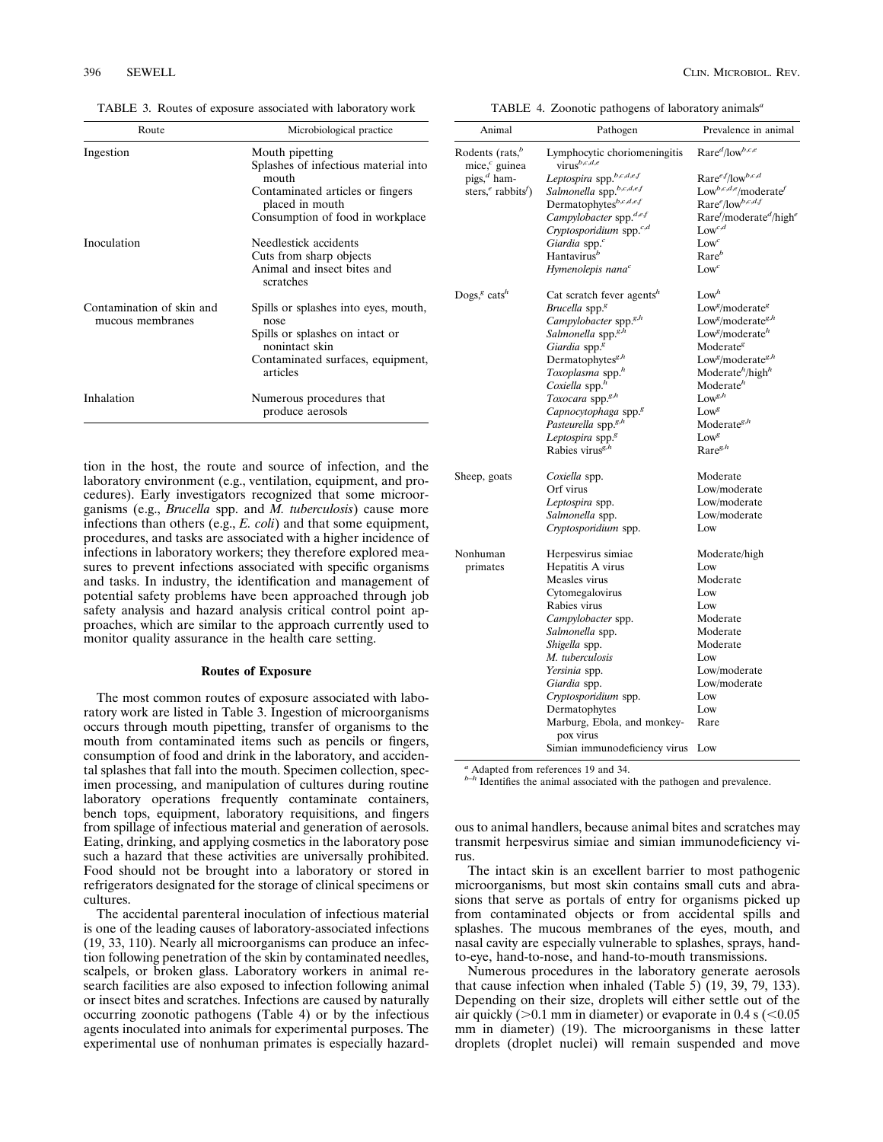TABLE 3. Routes of exposure associated with laboratory work

| Route                                         | Microbiological practice                                                                                                                                    |
|-----------------------------------------------|-------------------------------------------------------------------------------------------------------------------------------------------------------------|
| Ingestion                                     | Mouth pipetting<br>Splashes of infectious material into<br>mouth<br>Contaminated articles or fingers<br>placed in mouth<br>Consumption of food in workplace |
| Inoculation                                   | Needlestick accidents<br>Cuts from sharp objects<br>Animal and insect bites and<br>scratches                                                                |
| Contamination of skin and<br>mucous membranes | Spills or splashes into eyes, mouth,<br>nose<br>Spills or splashes on intact or<br>nonintact skin<br>Contaminated surfaces, equipment,<br>articles          |
| Inhalation                                    | Numerous procedures that<br>produce aerosols                                                                                                                |

tion in the host, the route and source of infection, and the laboratory environment (e.g., ventilation, equipment, and procedures). Early investigators recognized that some microorganisms (e.g., *Brucella* spp. and *M. tuberculosis*) cause more infections than others (e.g., *E. coli*) and that some equipment, procedures, and tasks are associated with a higher incidence of infections in laboratory workers; they therefore explored measures to prevent infections associated with specific organisms and tasks. In industry, the identification and management of potential safety problems have been approached through job safety analysis and hazard analysis critical control point approaches, which are similar to the approach currently used to monitor quality assurance in the health care setting.

#### **Routes of Exposure**

The most common routes of exposure associated with laboratory work are listed in Table 3. Ingestion of microorganisms occurs through mouth pipetting, transfer of organisms to the mouth from contaminated items such as pencils or fingers, consumption of food and drink in the laboratory, and accidental splashes that fall into the mouth. Specimen collection, specimen processing, and manipulation of cultures during routine laboratory operations frequently contaminate containers, bench tops, equipment, laboratory requisitions, and fingers from spillage of infectious material and generation of aerosols. Eating, drinking, and applying cosmetics in the laboratory pose such a hazard that these activities are universally prohibited. Food should not be brought into a laboratory or stored in refrigerators designated for the storage of clinical specimens or cultures.

The accidental parenteral inoculation of infectious material is one of the leading causes of laboratory-associated infections (19, 33, 110). Nearly all microorganisms can produce an infection following penetration of the skin by contaminated needles, scalpels, or broken glass. Laboratory workers in animal research facilities are also exposed to infection following animal or insect bites and scratches. Infections are caused by naturally occurring zoonotic pathogens (Table 4) or by the infectious agents inoculated into animals for experimental purposes. The experimental use of nonhuman primates is especially hazard-

TABLE 4. Zoonotic pathogens of laboratory animals*<sup>a</sup>*

| Animal                                                         | Pathogen                                             | Prevalence in animal                                    |
|----------------------------------------------------------------|------------------------------------------------------|---------------------------------------------------------|
| Rodents (rats, $b$<br>mice, $c$ guinea                         | Lymphocytic choriomeningitis<br>virus ${}^{b,c,d,e}$ | $Rare^{d}/low^{b,c,e}$                                  |
| pigs, $d$ ham-                                                 | Leptospira spp.b,c,d,e,f                             | $Rare^{ef}/low^{b,c,d}$                                 |
| sters, <sup><i>e</i></sup> rabbits <sup><math>f</math></sup> ) | Salmonella spp.b,c,d,e,f                             | Low <sup>b,c,d,e</sup> /moderate <sup>f</sup>           |
|                                                                | Dermatophytesb,c,d,e,f                               | Rare <sup>e</sup> /low <sup>b,c,d,f</sup>               |
|                                                                | Campylobacter spp. <sup>d,e,f</sup>                  | $\text{Rare}^f\text{/moderate}^d\text{/high}^e$         |
|                                                                | Cryptosporidium spp. <sup>c,d</sup>                  | $Low^{c,d}$                                             |
|                                                                | Giardia spp. <sup>c</sup>                            | $Low^c$                                                 |
|                                                                | Hantavirus <sup>b</sup>                              | $\text{Rare}^b$                                         |
|                                                                | Hymenolepis nana $^c$                                | $Low^c$                                                 |
| Dogs, <sup>g</sup> cats <sup>h</sup>                           | Cat scratch fever agents $^h$                        | Low <sup>h</sup>                                        |
|                                                                | Brucella spp. <sup>8</sup>                           | Low <sup>g</sup> /moderate <sup>g</sup>                 |
|                                                                | Campylobacter spp. <sup>g,h</sup>                    | Low <sup>g</sup> /moderate <sup>g,h</sup>               |
|                                                                | Salmonella spp. <sup>g,h</sup>                       | Low <sup>g</sup> /moderate <sup>h</sup>                 |
|                                                                | Giardia spp. <sup>g</sup>                            | Moderate <sup>g</sup>                                   |
|                                                                | Dermatophytes <sup>g,h</sup>                         | Low <sup><i>s</i></sup> /moderate <sup>g,<i>h</i></sup> |
|                                                                | Toxoplasma spp. <sup>h</sup>                         | Moderate <sup>h</sup> /high <sup>h</sup>                |
|                                                                | Coxiella spp. <sup>h</sup>                           | Moderate <sup>h</sup>                                   |
|                                                                | Toxocara spp. <sup>g,h</sup>                         | $Low^{g,h}$                                             |
|                                                                | Capnocytophaga spp. <sup>g</sup>                     | $Low^g$                                                 |
|                                                                | Pasteurella spp. <sup>g,h</sup>                      | Moderate <sup>g,h</sup>                                 |
|                                                                | Leptospira spp. <sup>g</sup>                         | Low <sup>g</sup>                                        |
|                                                                | Rabies virus <sup>g, h</sup>                         | Rare <sup>g,h</sup>                                     |
| Sheep, goats                                                   | Coxiella spp.                                        | Moderate                                                |
|                                                                | Orf virus                                            | Low/moderate                                            |
|                                                                | Leptospira spp.                                      | Low/moderate                                            |
|                                                                | Salmonella spp.                                      | Low/moderate                                            |
|                                                                | Cryptosporidium spp.                                 | Low                                                     |
| Nonhuman                                                       | Herpesvirus simiae                                   | Moderate/high                                           |
| primates                                                       | Hepatitis A virus                                    | Low                                                     |
|                                                                | Measles virus                                        | Moderate                                                |
|                                                                | Cytomegalovirus                                      | Low                                                     |
|                                                                | Rabies virus                                         | Low                                                     |
|                                                                | Campylobacter spp.                                   | Moderate                                                |
|                                                                | Salmonella spp.                                      | Moderate                                                |
|                                                                | <i>Shigella</i> spp.                                 | Moderate                                                |
|                                                                | M. tuberculosis                                      | $_{\text{low}}$                                         |
|                                                                | Yersinia spp.                                        | Low/moderate                                            |
|                                                                | Giardia spp.                                         | Low/moderate                                            |
|                                                                | Cryptosporidium spp.                                 | Low                                                     |
|                                                                | Dermatophytes                                        | Low                                                     |
|                                                                | Marburg, Ebola, and monkey-<br>pox virus             | Rare                                                    |
|                                                                | Simian immunodeficiency virus                        | Low                                                     |
|                                                                |                                                      |                                                         |

*<sup>a</sup>* Adapted from references 19 and 34.

*b–h* Identifies the animal associated with the pathogen and prevalence.

ous to animal handlers, because animal bites and scratches may transmit herpesvirus simiae and simian immunodeficiency virus.

The intact skin is an excellent barrier to most pathogenic microorganisms, but most skin contains small cuts and abrasions that serve as portals of entry for organisms picked up from contaminated objects or from accidental spills and splashes. The mucous membranes of the eyes, mouth, and nasal cavity are especially vulnerable to splashes, sprays, handto-eye, hand-to-nose, and hand-to-mouth transmissions.

Numerous procedures in the laboratory generate aerosols that cause infection when inhaled (Table 5) (19, 39, 79, 133). Depending on their size, droplets will either settle out of the air quickly ( $>0.1$  mm in diameter) or evaporate in 0.4 s ( $< 0.05$ ) mm in diameter) (19). The microorganisms in these latter droplets (droplet nuclei) will remain suspended and move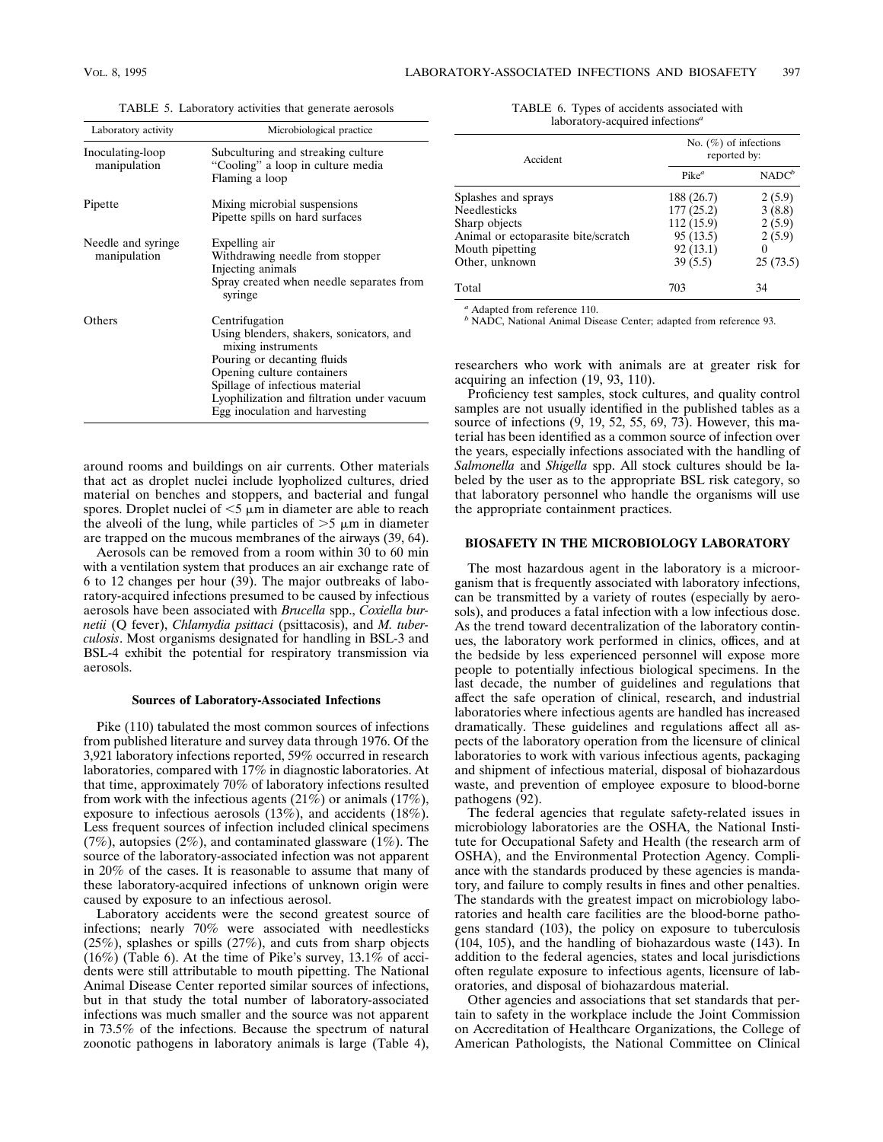| Laboratory activity                 | Microbiological practice                                                                                                                                                                                                                                         |
|-------------------------------------|------------------------------------------------------------------------------------------------------------------------------------------------------------------------------------------------------------------------------------------------------------------|
| Inoculating-loop<br>manipulation    | Subculturing and streaking culture<br>"Cooling" a loop in culture media<br>Flaming a loop                                                                                                                                                                        |
| Pipette                             | Mixing microbial suspensions<br>Pipette spills on hard surfaces                                                                                                                                                                                                  |
| Needle and syringe.<br>manipulation | Expelling air<br>Withdrawing needle from stopper<br>Injecting animals<br>Spray created when needle separates from<br>syringe                                                                                                                                     |
| Others                              | Centrifugation<br>Using blenders, shakers, sonicators, and<br>mixing instruments<br>Pouring or decanting fluids<br>Opening culture containers<br>Spillage of infectious material<br>Lyophilization and filtration under vacuum<br>Egg inoculation and harvesting |

TABLE 5. Laboratory activities that generate aerosols

around rooms and buildings on air currents. Other materials that act as droplet nuclei include lyopholized cultures, dried material on benches and stoppers, and bacterial and fungal spores. Droplet nuclei of  $\leq$ 5  $\mu$ m in diameter are able to reach the alveoli of the lung, while particles of  $>5 \mu m$  in diameter are trapped on the mucous membranes of the airways (39, 64).

Aerosols can be removed from a room within 30 to 60 min with a ventilation system that produces an air exchange rate of 6 to 12 changes per hour (39). The major outbreaks of laboratory-acquired infections presumed to be caused by infectious aerosols have been associated with *Brucella* spp., *Coxiella burnetii* (Q fever), *Chlamydia psittaci* (psittacosis), and *M. tuberculosis*. Most organisms designated for handling in BSL-3 and BSL-4 exhibit the potential for respiratory transmission via aerosols.

#### **Sources of Laboratory-Associated Infections**

Pike (110) tabulated the most common sources of infections from published literature and survey data through 1976. Of the 3,921 laboratory infections reported, 59% occurred in research laboratories, compared with 17% in diagnostic laboratories. At that time, approximately 70% of laboratory infections resulted from work with the infectious agents (21%) or animals (17%), exposure to infectious aerosols (13%), and accidents (18%). Less frequent sources of infection included clinical specimens  $(7\%)$ , autopsies  $(2\%)$ , and contaminated glassware  $(1\%)$ . The source of the laboratory-associated infection was not apparent in 20% of the cases. It is reasonable to assume that many of these laboratory-acquired infections of unknown origin were caused by exposure to an infectious aerosol.

Laboratory accidents were the second greatest source of infections; nearly 70% were associated with needlesticks (25%), splashes or spills (27%), and cuts from sharp objects (16%) (Table 6). At the time of Pike's survey, 13.1% of accidents were still attributable to mouth pipetting. The National Animal Disease Center reported similar sources of infections, but in that study the total number of laboratory-associated infections was much smaller and the source was not apparent in 73.5% of the infections. Because the spectrum of natural zoonotic pathogens in laboratory animals is large (Table 4),

TABLE 6. Types of accidents associated with laboratory-acquired infections*<sup>a</sup>*

| Accident                            | No. $(\%)$ of infections<br>reported by: |          |  |
|-------------------------------------|------------------------------------------|----------|--|
|                                     | $Pike^{a}$                               | $NADC^b$ |  |
| Splashes and sprays                 | 188 (26.7)                               | 2(5.9)   |  |
| <b>Needlesticks</b>                 | 177(25.2)                                | 3(8.8)   |  |
| Sharp objects                       | 112(15.9)                                | 2(5.9)   |  |
| Animal or ectoparasite bite/scratch | 95 (13.5)                                | 2(5.9)   |  |
| Mouth pipetting                     | 92(13.1)                                 |          |  |
| Other, unknown                      | 39(5.5)                                  | 25(73.5) |  |
| Total                               | 703                                      | 34       |  |

*<sup>a</sup>* Adapted from reference 110.

*<sup>b</sup>* NADC, National Animal Disease Center; adapted from reference 93.

researchers who work with animals are at greater risk for acquiring an infection (19, 93, 110).

Proficiency test samples, stock cultures, and quality control samples are not usually identified in the published tables as a source of infections (9, 19, 52, 55, 69, 73). However, this material has been identified as a common source of infection over the years, especially infections associated with the handling of *Salmonella* and *Shigella* spp. All stock cultures should be labeled by the user as to the appropriate BSL risk category, so that laboratory personnel who handle the organisms will use the appropriate containment practices.

#### **BIOSAFETY IN THE MICROBIOLOGY LABORATORY**

The most hazardous agent in the laboratory is a microorganism that is frequently associated with laboratory infections, can be transmitted by a variety of routes (especially by aerosols), and produces a fatal infection with a low infectious dose. As the trend toward decentralization of the laboratory continues, the laboratory work performed in clinics, offices, and at the bedside by less experienced personnel will expose more people to potentially infectious biological specimens. In the last decade, the number of guidelines and regulations that affect the safe operation of clinical, research, and industrial laboratories where infectious agents are handled has increased dramatically. These guidelines and regulations affect all aspects of the laboratory operation from the licensure of clinical laboratories to work with various infectious agents, packaging and shipment of infectious material, disposal of biohazardous waste, and prevention of employee exposure to blood-borne pathogens (92).

The federal agencies that regulate safety-related issues in microbiology laboratories are the OSHA, the National Institute for Occupational Safety and Health (the research arm of OSHA), and the Environmental Protection Agency. Compliance with the standards produced by these agencies is mandatory, and failure to comply results in fines and other penalties. The standards with the greatest impact on microbiology laboratories and health care facilities are the blood-borne pathogens standard (103), the policy on exposure to tuberculosis (104, 105), and the handling of biohazardous waste (143). In addition to the federal agencies, states and local jurisdictions often regulate exposure to infectious agents, licensure of laboratories, and disposal of biohazardous material.

Other agencies and associations that set standards that pertain to safety in the workplace include the Joint Commission on Accreditation of Healthcare Organizations, the College of American Pathologists, the National Committee on Clinical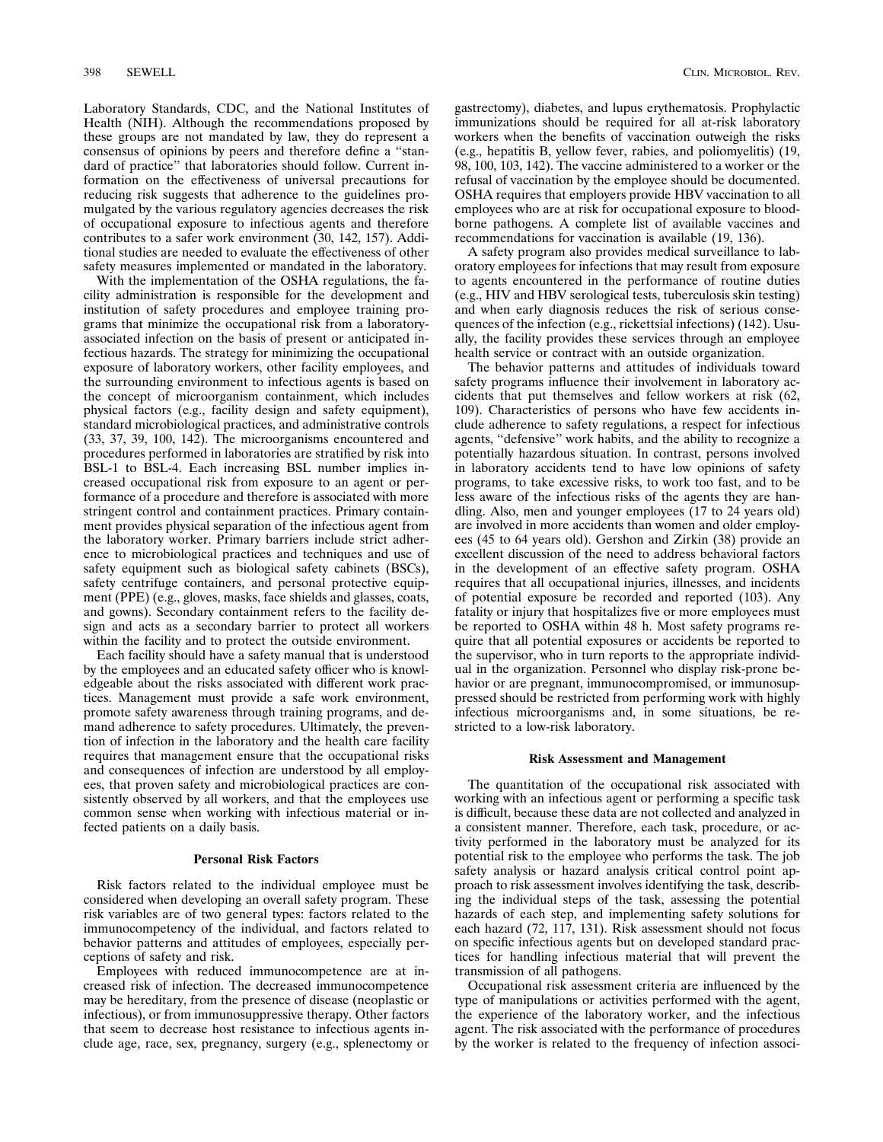Laboratory Standards, CDC, and the National Institutes of Health (NIH). Although the recommendations proposed by these groups are not mandated by law, they do represent a consensus of opinions by peers and therefore define a ''standard of practice'' that laboratories should follow. Current information on the effectiveness of universal precautions for reducing risk suggests that adherence to the guidelines promulgated by the various regulatory agencies decreases the risk of occupational exposure to infectious agents and therefore contributes to a safer work environment (30, 142, 157). Additional studies are needed to evaluate the effectiveness of other safety measures implemented or mandated in the laboratory.

With the implementation of the OSHA regulations, the facility administration is responsible for the development and institution of safety procedures and employee training programs that minimize the occupational risk from a laboratoryassociated infection on the basis of present or anticipated infectious hazards. The strategy for minimizing the occupational exposure of laboratory workers, other facility employees, and the surrounding environment to infectious agents is based on the concept of microorganism containment, which includes physical factors (e.g., facility design and safety equipment), standard microbiological practices, and administrative controls (33, 37, 39, 100, 142). The microorganisms encountered and procedures performed in laboratories are stratified by risk into BSL-1 to BSL-4. Each increasing BSL number implies increased occupational risk from exposure to an agent or performance of a procedure and therefore is associated with more stringent control and containment practices. Primary containment provides physical separation of the infectious agent from the laboratory worker. Primary barriers include strict adherence to microbiological practices and techniques and use of safety equipment such as biological safety cabinets (BSCs), safety centrifuge containers, and personal protective equipment (PPE) (e.g., gloves, masks, face shields and glasses, coats, and gowns). Secondary containment refers to the facility design and acts as a secondary barrier to protect all workers within the facility and to protect the outside environment.

Each facility should have a safety manual that is understood by the employees and an educated safety officer who is knowledgeable about the risks associated with different work practices. Management must provide a safe work environment, promote safety awareness through training programs, and demand adherence to safety procedures. Ultimately, the prevention of infection in the laboratory and the health care facility requires that management ensure that the occupational risks and consequences of infection are understood by all employees, that proven safety and microbiological practices are consistently observed by all workers, and that the employees use common sense when working with infectious material or infected patients on a daily basis.

#### **Personal Risk Factors**

Risk factors related to the individual employee must be considered when developing an overall safety program. These risk variables are of two general types: factors related to the immunocompetency of the individual, and factors related to behavior patterns and attitudes of employees, especially perceptions of safety and risk.

Employees with reduced immunocompetence are at increased risk of infection. The decreased immunocompetence may be hereditary, from the presence of disease (neoplastic or infectious), or from immunosuppressive therapy. Other factors that seem to decrease host resistance to infectious agents include age, race, sex, pregnancy, surgery (e.g., splenectomy or

gastrectomy), diabetes, and lupus erythematosis. Prophylactic immunizations should be required for all at-risk laboratory workers when the benefits of vaccination outweigh the risks (e.g., hepatitis B, yellow fever, rabies, and poliomyelitis) (19, 98, 100, 103, 142). The vaccine administered to a worker or the refusal of vaccination by the employee should be documented. OSHA requires that employers provide HBV vaccination to all employees who are at risk for occupational exposure to bloodborne pathogens. A complete list of available vaccines and recommendations for vaccination is available (19, 136).

A safety program also provides medical surveillance to laboratory employees for infections that may result from exposure to agents encountered in the performance of routine duties (e.g., HIV and HBV serological tests, tuberculosis skin testing) and when early diagnosis reduces the risk of serious consequences of the infection (e.g., rickettsial infections) (142). Usually, the facility provides these services through an employee health service or contract with an outside organization.

The behavior patterns and attitudes of individuals toward safety programs influence their involvement in laboratory accidents that put themselves and fellow workers at risk (62, 109). Characteristics of persons who have few accidents include adherence to safety regulations, a respect for infectious agents, ''defensive'' work habits, and the ability to recognize a potentially hazardous situation. In contrast, persons involved in laboratory accidents tend to have low opinions of safety programs, to take excessive risks, to work too fast, and to be less aware of the infectious risks of the agents they are handling. Also, men and younger employees (17 to 24 years old) are involved in more accidents than women and older employees (45 to 64 years old). Gershon and Zirkin (38) provide an excellent discussion of the need to address behavioral factors in the development of an effective safety program. OSHA requires that all occupational injuries, illnesses, and incidents of potential exposure be recorded and reported (103). Any fatality or injury that hospitalizes five or more employees must be reported to OSHA within 48 h. Most safety programs require that all potential exposures or accidents be reported to the supervisor, who in turn reports to the appropriate individual in the organization. Personnel who display risk-prone behavior or are pregnant, immunocompromised, or immunosuppressed should be restricted from performing work with highly infectious microorganisms and, in some situations, be restricted to a low-risk laboratory.

## **Risk Assessment and Management**

The quantitation of the occupational risk associated with working with an infectious agent or performing a specific task is difficult, because these data are not collected and analyzed in a consistent manner. Therefore, each task, procedure, or activity performed in the laboratory must be analyzed for its potential risk to the employee who performs the task. The job safety analysis or hazard analysis critical control point approach to risk assessment involves identifying the task, describing the individual steps of the task, assessing the potential hazards of each step, and implementing safety solutions for each hazard (72, 117, 131). Risk assessment should not focus on specific infectious agents but on developed standard practices for handling infectious material that will prevent the transmission of all pathogens.

Occupational risk assessment criteria are influenced by the type of manipulations or activities performed with the agent, the experience of the laboratory worker, and the infectious agent. The risk associated with the performance of procedures by the worker is related to the frequency of infection associ-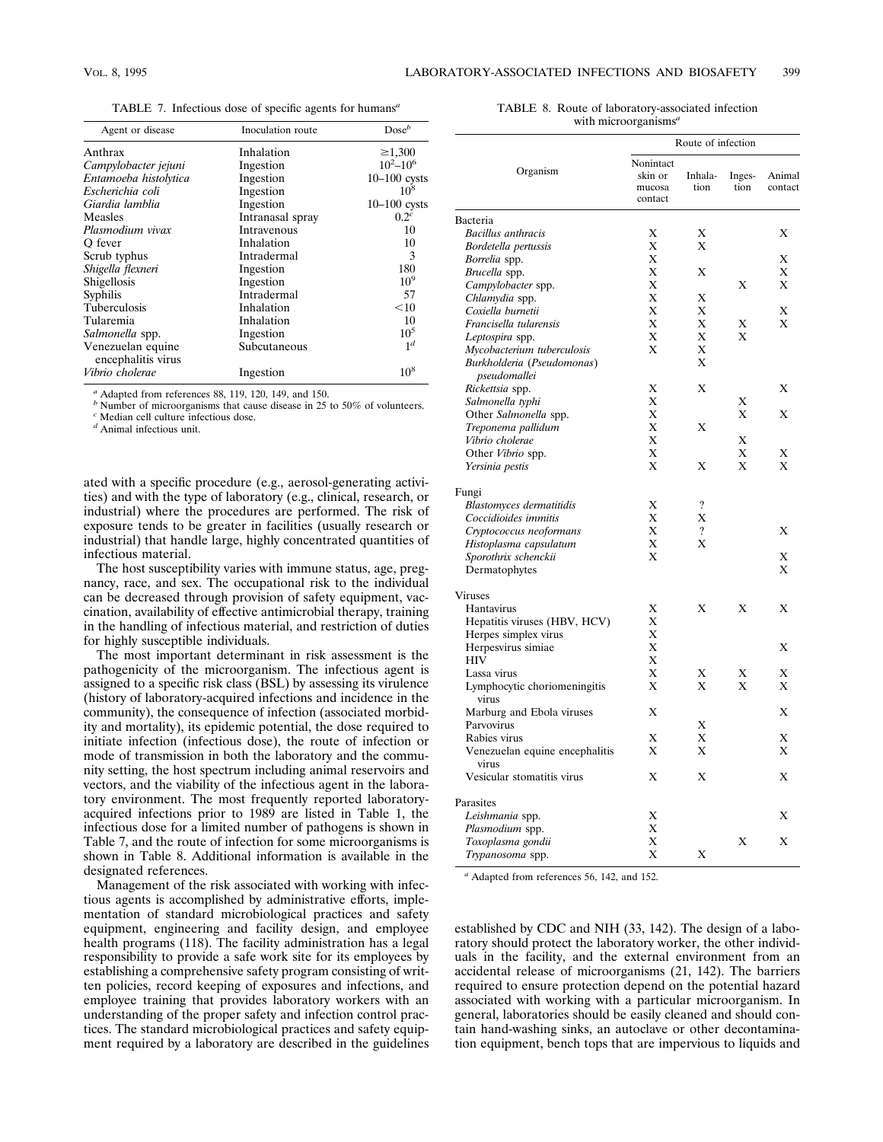TABLE 7. Infectious dose of specific agents for humans*<sup>a</sup>*

| Agent or disease                        | Inoculation route | $Dose^b$         |
|-----------------------------------------|-------------------|------------------|
| Anthrax                                 | Inhalation        | $\geq 1,300$     |
| Campylobacter jejuni                    | Ingestion         | $10^2 - 10^6$    |
| Entamoeba histolytica                   | Ingestion         | $10-100$ cysts   |
| Escherichia coli                        | Ingestion         | 10 <sup>8</sup>  |
| Giardia lamblia                         | Ingestion         | $10-100$ cysts   |
| Measles                                 | Intranasal spray  | 0.2 <sup>c</sup> |
| Plasmodium vivax                        | Intravenous       | 10               |
| O fever                                 | Inhalation        | 10               |
| Scrub typhus                            | Intradermal       | $\mathcal{F}$    |
| Shigella flexneri                       | Ingestion         | 180              |
| Shigellosis                             | Ingestion         | $10^{9}$         |
| Syphilis                                | Intradermal       | 57               |
| <b>Tuberculosis</b>                     | Inhalation        | $<$ 10           |
| Tularemia                               | Inhalation        | 10               |
| Salmonella spp.                         | Ingestion         | $10^{5}$         |
| Venezuelan equine<br>encephalitis virus | Subcutaneous      | 1 <sup>d</sup>   |
| Vibrio cholerae                         | Ingestion         | $10^{8}$         |

*<sup>a</sup>* Adapted from references 88, 119, 120, 149, and 150.

*b* Number of microorganisms that cause disease in 25 to 50% of volunteers.

*<sup>c</sup>* Median cell culture infectious dose.

*<sup>d</sup>* Animal infectious unit.

ated with a specific procedure (e.g., aerosol-generating activities) and with the type of laboratory (e.g., clinical, research, or industrial) where the procedures are performed. The risk of exposure tends to be greater in facilities (usually research or industrial) that handle large, highly concentrated quantities of infectious material.

The host susceptibility varies with immune status, age, pregnancy, race, and sex. The occupational risk to the individual can be decreased through provision of safety equipment, vaccination, availability of effective antimicrobial therapy, training in the handling of infectious material, and restriction of duties for highly susceptible individuals.

The most important determinant in risk assessment is the pathogenicity of the microorganism. The infectious agent is assigned to a specific risk class (BSL) by assessing its virulence (history of laboratory-acquired infections and incidence in the community), the consequence of infection (associated morbidity and mortality), its epidemic potential, the dose required to initiate infection (infectious dose), the route of infection or mode of transmission in both the laboratory and the community setting, the host spectrum including animal reservoirs and vectors, and the viability of the infectious agent in the laboratory environment. The most frequently reported laboratoryacquired infections prior to 1989 are listed in Table 1, the infectious dose for a limited number of pathogens is shown in Table 7, and the route of infection for some microorganisms is shown in Table 8. Additional information is available in the designated references.

Management of the risk associated with working with infectious agents is accomplished by administrative efforts, implementation of standard microbiological practices and safety equipment, engineering and facility design, and employee health programs (118). The facility administration has a legal responsibility to provide a safe work site for its employees by establishing a comprehensive safety program consisting of written policies, record keeping of exposures and infections, and employee training that provides laboratory workers with an understanding of the proper safety and infection control practices. The standard microbiological practices and safety equipment required by a laboratory are described in the guidelines

| TABLE 8. Route of laboratory-associated infection |  |
|---------------------------------------------------|--|
| with microorganisms <sup>a</sup>                  |  |

|                                            | Route of infection                        |                    |                |                   |
|--------------------------------------------|-------------------------------------------|--------------------|----------------|-------------------|
| Organism                                   | Nonintact<br>skin or<br>mucosa<br>contact | Inhala-<br>tion    | Inges-<br>tion | Animal<br>contact |
| Bacteria                                   |                                           |                    |                |                   |
| <b>Bacillus</b> anthracis                  | Х                                         | X                  |                | Х                 |
| Bordetella pertussis                       | X                                         | X                  |                |                   |
| Borrelia spp.                              | X                                         |                    |                | X                 |
| Brucella spp.                              | X                                         | X                  |                | X                 |
| Campylobacter spp.                         | X                                         |                    | X              | X                 |
| Chlamydia spp.                             | X                                         | X                  |                |                   |
| Coxiella burnetii                          | X                                         | X                  |                | Х                 |
| Francisella tularensis                     | X                                         | X                  | X              | X                 |
| Leptospira spp.                            | X                                         | X                  | X              |                   |
| Mycobacterium tuberculosis                 | X                                         | X                  |                |                   |
| Burkholderia (Pseudomonas)<br>pseudomallei |                                           | X                  |                |                   |
| Rickettsia spp.                            | Х                                         | X                  |                | Х                 |
| Salmonella typhi                           | X                                         |                    | Х              |                   |
| Other Salmonella spp.                      | Х                                         |                    | X              | X                 |
| Treponema pallidum                         | X                                         | X                  |                |                   |
| Vibrio cholerae                            | X                                         |                    | X              |                   |
| Other Vibrio spp.                          | X                                         |                    | X              | X                 |
| Yersinia pestis                            | X                                         | X                  | X              | X                 |
| Fungi                                      |                                           |                    |                |                   |
| Blastomyces dermatitidis                   | X                                         | $\cdot$            |                |                   |
| Coccidioides immitis                       | X                                         | X                  |                |                   |
| Cryptococcus neoformans                    | X                                         | $\overline{\cdot}$ |                | X                 |
| Histoplasma capsulatum                     | X                                         | X                  |                |                   |
| Sporothrix schenckii<br>Dermatophytes      | X                                         |                    |                | X<br>X            |
| Viruses                                    |                                           |                    |                |                   |
| Hantavirus                                 | X                                         | X                  | X              | X                 |
| Hepatitis viruses (HBV, HCV)               | Х                                         |                    |                |                   |
| Herpes simplex virus                       | X                                         |                    |                |                   |
| Herpesvirus simiae                         | X                                         |                    |                | X                 |
| <b>HIV</b>                                 | X                                         |                    |                |                   |
| Lassa virus                                | X                                         | X                  | Х              | X                 |
| Lymphocytic choriomeningitis<br>virus      | X                                         | X                  | X              | X                 |
| Marburg and Ebola viruses                  | X                                         |                    |                | X                 |
| Parvovirus                                 | X                                         | X<br>X             |                | X                 |
| Rabies virus                               | X                                         | X                  |                | X                 |
| Venezuelan equine encephalitis<br>virus    |                                           |                    |                |                   |
| Vesicular stomatitis virus                 | X                                         | X                  |                | X                 |
| Parasites                                  |                                           |                    |                |                   |
| Leishmania spp.                            | Х                                         |                    |                | X                 |
| Plasmodium spp.                            | Х                                         |                    |                | X                 |
| Toxoplasma gondii                          | X                                         |                    | Х              |                   |
| Trypanosoma spp.                           | X                                         | X                  |                |                   |

*<sup>a</sup>* Adapted from references 56, 142, and 152.

established by CDC and NIH (33, 142). The design of a laboratory should protect the laboratory worker, the other individuals in the facility, and the external environment from an accidental release of microorganisms (21, 142). The barriers required to ensure protection depend on the potential hazard associated with working with a particular microorganism. In general, laboratories should be easily cleaned and should contain hand-washing sinks, an autoclave or other decontamination equipment, bench tops that are impervious to liquids and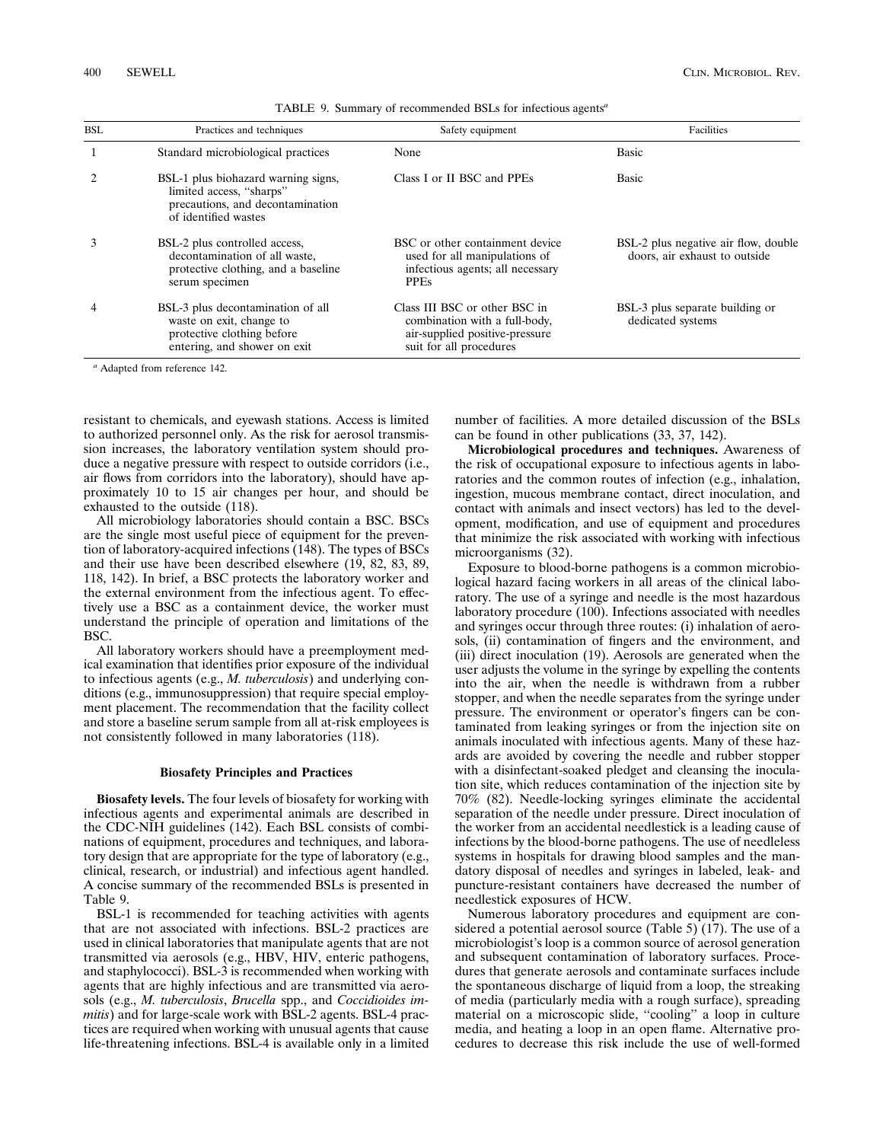| <b>BSL</b> | Practices and techniques                                                                                                    | Safety equipment                                                                                                            | Facilities                                                            |
|------------|-----------------------------------------------------------------------------------------------------------------------------|-----------------------------------------------------------------------------------------------------------------------------|-----------------------------------------------------------------------|
|            | Standard microbiological practices                                                                                          | None                                                                                                                        | <b>Basic</b>                                                          |
|            | BSL-1 plus biohazard warning signs,<br>limited access, "sharps"<br>precautions, and decontamination<br>of identified wastes | Class I or II BSC and PPEs                                                                                                  | <b>Basic</b>                                                          |
|            | BSL-2 plus controlled access,<br>decontamination of all waste,<br>protective clothing, and a baseline<br>serum specimen     | BSC or other containment device<br>used for all manipulations of<br>infectious agents; all necessary<br><b>PPEs</b>         | BSL-2 plus negative air flow, double<br>doors, air exhaust to outside |
|            | BSL-3 plus decontamination of all<br>waste on exit, change to<br>protective clothing before<br>entering, and shower on exit | Class III BSC or other BSC in<br>combination with a full-body,<br>air-supplied positive-pressure<br>suit for all procedures | BSL-3 plus separate building or<br>dedicated systems                  |

TABLE 9. Summary of recommended BSLs for infectious agents*<sup>a</sup>*

*<sup>a</sup>* Adapted from reference 142.

resistant to chemicals, and eyewash stations. Access is limited to authorized personnel only. As the risk for aerosol transmission increases, the laboratory ventilation system should produce a negative pressure with respect to outside corridors (i.e., air flows from corridors into the laboratory), should have approximately 10 to 15 air changes per hour, and should be exhausted to the outside (118).

All microbiology laboratories should contain a BSC. BSCs are the single most useful piece of equipment for the prevention of laboratory-acquired infections (148). The types of BSCs and their use have been described elsewhere (19, 82, 83, 89, 118, 142). In brief, a BSC protects the laboratory worker and the external environment from the infectious agent. To effectively use a BSC as a containment device, the worker must understand the principle of operation and limitations of the BSC.

All laboratory workers should have a preemployment medical examination that identifies prior exposure of the individual to infectious agents (e.g., *M. tuberculosis*) and underlying conditions (e.g., immunosuppression) that require special employment placement. The recommendation that the facility collect and store a baseline serum sample from all at-risk employees is not consistently followed in many laboratories (118).

#### **Biosafety Principles and Practices**

**Biosafety levels.** The four levels of biosafety for working with infectious agents and experimental animals are described in the CDC-NIH guidelines (142). Each BSL consists of combinations of equipment, procedures and techniques, and laboratory design that are appropriate for the type of laboratory (e.g., clinical, research, or industrial) and infectious agent handled. A concise summary of the recommended BSLs is presented in Table 9.

BSL-1 is recommended for teaching activities with agents that are not associated with infections. BSL-2 practices are used in clinical laboratories that manipulate agents that are not transmitted via aerosols (e.g., HBV, HIV, enteric pathogens, and staphylococci). BSL-3 is recommended when working with agents that are highly infectious and are transmitted via aerosols (e.g., *M. tuberculosis*, *Brucella* spp., and *Coccidioides immitis*) and for large-scale work with BSL-2 agents. BSL-4 practices are required when working with unusual agents that cause life-threatening infections. BSL-4 is available only in a limited number of facilities. A more detailed discussion of the BSLs can be found in other publications (33, 37, 142).

**Microbiological procedures and techniques.** Awareness of the risk of occupational exposure to infectious agents in laboratories and the common routes of infection (e.g., inhalation, ingestion, mucous membrane contact, direct inoculation, and contact with animals and insect vectors) has led to the development, modification, and use of equipment and procedures that minimize the risk associated with working with infectious microorganisms (32).

Exposure to blood-borne pathogens is a common microbiological hazard facing workers in all areas of the clinical laboratory. The use of a syringe and needle is the most hazardous laboratory procedure (100). Infections associated with needles and syringes occur through three routes: (i) inhalation of aerosols, (ii) contamination of fingers and the environment, and (iii) direct inoculation (19). Aerosols are generated when the user adjusts the volume in the syringe by expelling the contents into the air, when the needle is withdrawn from a rubber stopper, and when the needle separates from the syringe under pressure. The environment or operator's fingers can be contaminated from leaking syringes or from the injection site on animals inoculated with infectious agents. Many of these hazards are avoided by covering the needle and rubber stopper with a disinfectant-soaked pledget and cleansing the inoculation site, which reduces contamination of the injection site by 70% (82). Needle-locking syringes eliminate the accidental separation of the needle under pressure. Direct inoculation of the worker from an accidental needlestick is a leading cause of infections by the blood-borne pathogens. The use of needleless systems in hospitals for drawing blood samples and the mandatory disposal of needles and syringes in labeled, leak- and puncture-resistant containers have decreased the number of needlestick exposures of HCW.

Numerous laboratory procedures and equipment are considered a potential aerosol source (Table 5) (17). The use of a microbiologist's loop is a common source of aerosol generation and subsequent contamination of laboratory surfaces. Procedures that generate aerosols and contaminate surfaces include the spontaneous discharge of liquid from a loop, the streaking of media (particularly media with a rough surface), spreading material on a microscopic slide, ''cooling'' a loop in culture media, and heating a loop in an open flame. Alternative procedures to decrease this risk include the use of well-formed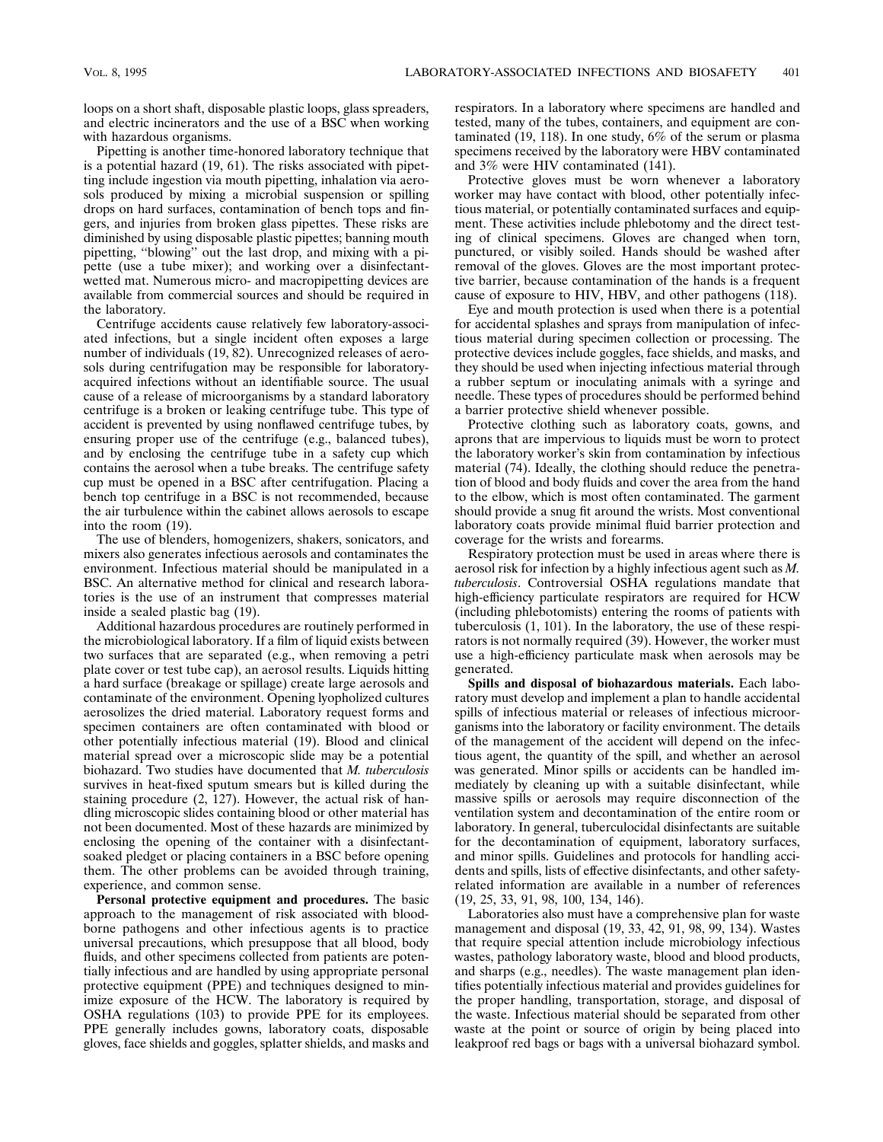loops on a short shaft, disposable plastic loops, glass spreaders, and electric incinerators and the use of a BSC when working with hazardous organisms.

Pipetting is another time-honored laboratory technique that is a potential hazard (19, 61). The risks associated with pipetting include ingestion via mouth pipetting, inhalation via aerosols produced by mixing a microbial suspension or spilling drops on hard surfaces, contamination of bench tops and fingers, and injuries from broken glass pipettes. These risks are diminished by using disposable plastic pipettes; banning mouth pipetting, ''blowing'' out the last drop, and mixing with a pipette (use a tube mixer); and working over a disinfectantwetted mat. Numerous micro- and macropipetting devices are available from commercial sources and should be required in the laboratory.

Centrifuge accidents cause relatively few laboratory-associated infections, but a single incident often exposes a large number of individuals (19, 82). Unrecognized releases of aerosols during centrifugation may be responsible for laboratoryacquired infections without an identifiable source. The usual cause of a release of microorganisms by a standard laboratory centrifuge is a broken or leaking centrifuge tube. This type of accident is prevented by using nonflawed centrifuge tubes, by ensuring proper use of the centrifuge (e.g., balanced tubes), and by enclosing the centrifuge tube in a safety cup which contains the aerosol when a tube breaks. The centrifuge safety cup must be opened in a BSC after centrifugation. Placing a bench top centrifuge in a BSC is not recommended, because the air turbulence within the cabinet allows aerosols to escape into the room (19).

The use of blenders, homogenizers, shakers, sonicators, and mixers also generates infectious aerosols and contaminates the environment. Infectious material should be manipulated in a BSC. An alternative method for clinical and research laboratories is the use of an instrument that compresses material inside a sealed plastic bag (19).

Additional hazardous procedures are routinely performed in the microbiological laboratory. If a film of liquid exists between two surfaces that are separated (e.g., when removing a petri plate cover or test tube cap), an aerosol results. Liquids hitting a hard surface (breakage or spillage) create large aerosols and contaminate of the environment. Opening lyopholized cultures aerosolizes the dried material. Laboratory request forms and specimen containers are often contaminated with blood or other potentially infectious material (19). Blood and clinical material spread over a microscopic slide may be a potential biohazard. Two studies have documented that *M. tuberculosis* survives in heat-fixed sputum smears but is killed during the staining procedure (2, 127). However, the actual risk of handling microscopic slides containing blood or other material has not been documented. Most of these hazards are minimized by enclosing the opening of the container with a disinfectantsoaked pledget or placing containers in a BSC before opening them. The other problems can be avoided through training, experience, and common sense.

**Personal protective equipment and procedures.** The basic approach to the management of risk associated with bloodborne pathogens and other infectious agents is to practice universal precautions, which presuppose that all blood, body fluids, and other specimens collected from patients are potentially infectious and are handled by using appropriate personal protective equipment (PPE) and techniques designed to minimize exposure of the HCW. The laboratory is required by OSHA regulations (103) to provide PPE for its employees. PPE generally includes gowns, laboratory coats, disposable gloves, face shields and goggles, splatter shields, and masks and

respirators. In a laboratory where specimens are handled and tested, many of the tubes, containers, and equipment are contaminated (19, 118). In one study, 6% of the serum or plasma specimens received by the laboratory were HBV contaminated and 3% were HIV contaminated (141).

Protective gloves must be worn whenever a laboratory worker may have contact with blood, other potentially infectious material, or potentially contaminated surfaces and equipment. These activities include phlebotomy and the direct testing of clinical specimens. Gloves are changed when torn, punctured, or visibly soiled. Hands should be washed after removal of the gloves. Gloves are the most important protective barrier, because contamination of the hands is a frequent cause of exposure to HIV, HBV, and other pathogens (118).

Eye and mouth protection is used when there is a potential for accidental splashes and sprays from manipulation of infectious material during specimen collection or processing. The protective devices include goggles, face shields, and masks, and they should be used when injecting infectious material through a rubber septum or inoculating animals with a syringe and needle. These types of procedures should be performed behind a barrier protective shield whenever possible.

Protective clothing such as laboratory coats, gowns, and aprons that are impervious to liquids must be worn to protect the laboratory worker's skin from contamination by infectious material (74). Ideally, the clothing should reduce the penetration of blood and body fluids and cover the area from the hand to the elbow, which is most often contaminated. The garment should provide a snug fit around the wrists. Most conventional laboratory coats provide minimal fluid barrier protection and coverage for the wrists and forearms.

Respiratory protection must be used in areas where there is aerosol risk for infection by a highly infectious agent such as *M. tuberculosis*. Controversial OSHA regulations mandate that high-efficiency particulate respirators are required for HCW (including phlebotomists) entering the rooms of patients with tuberculosis (1, 101). In the laboratory, the use of these respirators is not normally required (39). However, the worker must use a high-efficiency particulate mask when aerosols may be generated.

**Spills and disposal of biohazardous materials.** Each laboratory must develop and implement a plan to handle accidental spills of infectious material or releases of infectious microorganisms into the laboratory or facility environment. The details of the management of the accident will depend on the infectious agent, the quantity of the spill, and whether an aerosol was generated. Minor spills or accidents can be handled immediately by cleaning up with a suitable disinfectant, while massive spills or aerosols may require disconnection of the ventilation system and decontamination of the entire room or laboratory. In general, tuberculocidal disinfectants are suitable for the decontamination of equipment, laboratory surfaces, and minor spills. Guidelines and protocols for handling accidents and spills, lists of effective disinfectants, and other safetyrelated information are available in a number of references (19, 25, 33, 91, 98, 100, 134, 146).

Laboratories also must have a comprehensive plan for waste management and disposal (19, 33, 42, 91, 98, 99, 134). Wastes that require special attention include microbiology infectious wastes, pathology laboratory waste, blood and blood products, and sharps (e.g., needles). The waste management plan identifies potentially infectious material and provides guidelines for the proper handling, transportation, storage, and disposal of the waste. Infectious material should be separated from other waste at the point or source of origin by being placed into leakproof red bags or bags with a universal biohazard symbol.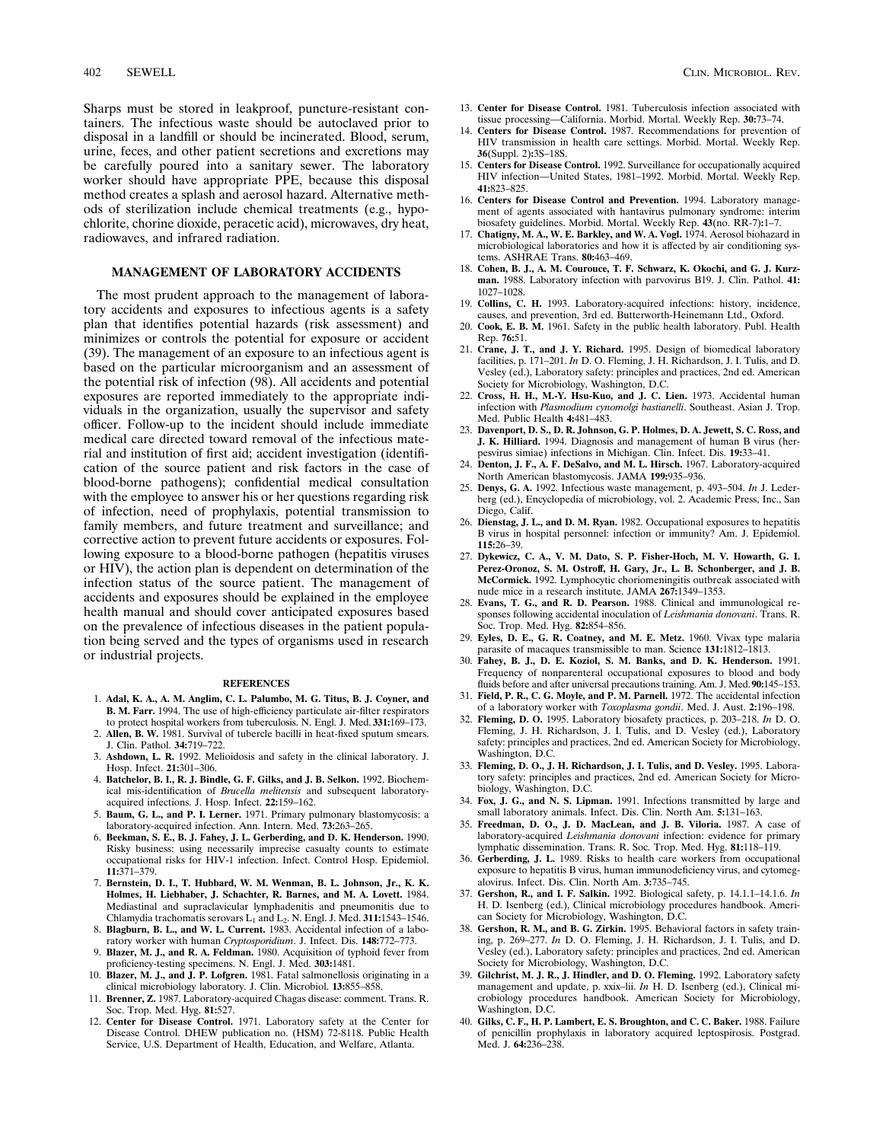Sharps must be stored in leakproof, puncture-resistant containers. The infectious waste should be autoclaved prior to disposal in a landfill or should be incinerated. Blood, serum, urine, feces, and other patient secretions and excretions may be carefully poured into a sanitary sewer. The laboratory worker should have appropriate PPE, because this disposal method creates a splash and aerosol hazard. Alternative methods of sterilization include chemical treatments (e.g., hypochlorite, chorine dioxide, peracetic acid), microwaves, dry heat, radiowaves, and infrared radiation.

## **MANAGEMENT OF LABORATORY ACCIDENTS**

The most prudent approach to the management of laboratory accidents and exposures to infectious agents is a safety plan that identifies potential hazards (risk assessment) and minimizes or controls the potential for exposure or accident (39). The management of an exposure to an infectious agent is based on the particular microorganism and an assessment of the potential risk of infection (98). All accidents and potential exposures are reported immediately to the appropriate individuals in the organization, usually the supervisor and safety officer. Follow-up to the incident should include immediate medical care directed toward removal of the infectious material and institution of first aid; accident investigation (identification of the source patient and risk factors in the case of blood-borne pathogens); confidential medical consultation with the employee to answer his or her questions regarding risk of infection, need of prophylaxis, potential transmission to family members, and future treatment and surveillance; and corrective action to prevent future accidents or exposures. Following exposure to a blood-borne pathogen (hepatitis viruses or HIV), the action plan is dependent on determination of the infection status of the source patient. The management of accidents and exposures should be explained in the employee health manual and should cover anticipated exposures based on the prevalence of infectious diseases in the patient population being served and the types of organisms used in research or industrial projects.

#### **REFERENCES**

- 1. **Adal, K. A., A. M. Anglim, C. L. Palumbo, M. G. Titus, B. J. Coyner, and B. M. Farr.** 1994. The use of high-efficiency particulate air-filter respirators to protect hospital workers from tuberculosis. N. Engl. J. Med. **331:**169–173.
- 2. **Allen, B. W.** 1981. Survival of tubercle bacilli in heat-fixed sputum smears. J. Clin. Pathol. **34:**719–722.
- 3. **Ashdown, L. R.** 1992. Melioidosis and safety in the clinical laboratory. J. Hosp. Infect. **21:**301–306.
- 4. **Batchelor, B. I., R. J. Bindle, G. F. Gilks, and J. B. Selkon.** 1992. Biochemical mis-identification of *Brucella melitensis* and subsequent laboratoryacquired infections. J. Hosp. Infect. **22:**159–162.
- 5. **Baum, G. L., and P. I. Lerner.** 1971. Primary pulmonary blastomycosis: a laboratory-acquired infection. Ann. Intern. Med. **73:**263–265.
- 6. **Beekman, S. E., B. J. Fahey, J. L. Gerberding, and D. K. Henderson.** 1990. Risky business: using necessarily imprecise casualty counts to estimate occupational risks for HIV-1 infection. Infect. Control Hosp. Epidemiol. **11:**371–379.
- 7. **Bernstein, D. I., T. Hubbard, W. M. Wenman, B. L. Johnson, Jr., K. K. Holmes, H. Liebhaber, J. Schachter, R. Barnes, and M. A. Lovett.** 1984. Mediastinal and supraclavicular lymphadenitis and pneumonitis due to Chlamydia trachomatis serovars L<sub>1</sub> and L<sub>2</sub>. N. Engl. J. Med. 311:1543-1546.
- 8. **Blagburn, B. L., and W. L. Current.** 1983. Accidental infection of a laboratory worker with human *Cryptosporidium*. J. Infect. Dis. **148:**772–773. 9. **Blazer, M. J., and R. A. Feldman.** 1980. Acquisition of typhoid fever from
- proficiency-testing specimens. N. Engl. J. Med. **303:**1481. 10. **Blazer, M. J., and J. P. Lofgren.** 1981. Fatal salmonellosis originating in a
- clinical microbiology laboratory. J. Clin. Microbiol. **13:**855–858.
- 11. **Brenner, Z.** 1987. Laboratory-acquired Chagas disease: comment. Trans. R. Soc. Trop. Med. Hyg. **81:**527.
- 12. **Center for Disease Control.** 1971. Laboratory safety at the Center for Disease Control. DHEW publication no. (HSM) 72-8118. Public Health Service, U.S. Department of Health, Education, and Welfare, Atlanta.
- 14. **Centers for Disease Control.** 1987. Recommendations for prevention of HIV transmission in health care settings. Morbid. Mortal. Weekly Rep. **36**(Suppl. 2)**:**3S–18S.
- 15. **Centers for Disease Control.** 1992. Surveillance for occupationally acquired HIV infection—United States, 1981–1992. Morbid. Mortal. Weekly Rep. **41:**823–825.
- 16. **Centers for Disease Control and Prevention.** 1994. Laboratory management of agents associated with hantavirus pulmonary syndrome: interim biosafety guidelines. Morbid. Mortal. Weekly Rep. **43**(no. RR-7)**:**1–7.
- 17. **Chatigny, M. A., W. E. Barkley, and W. A. Vogl.** 1974. Aerosol biohazard in microbiological laboratories and how it is affected by air conditioning systems. ASHRAE Trans. **80:**463–469.
- 18. **Cohen, B. J., A. M. Courouce, T. F. Schwarz, K. Okochi, and G. J. Kurzman.** 1988. Laboratory infection with parvovirus B19. J. Clin. Pathol. **41:** 1027–1028.
- 19. **Collins, C. H.** 1993. Laboratory-acquired infections: history, incidence, causes, and prevention, 3rd ed. Butterworth-Heinemann Ltd., Oxford.
- 20. **Cook, E. B. M.** 1961. Safety in the public health laboratory. Publ. Health Rep. **76:**51.
- 21. **Crane, J. T., and J. Y. Richard.** 1995. Design of biomedical laboratory facilities, p. 171–201. *In* D. O. Fleming, J. H. Richardson, J. I. Tulis, and D. Vesley (ed.), Laboratory safety: principles and practices, 2nd ed. American Society for Microbiology, Washington, D.C.
- 22. **Cross, H. H., M.-Y. Hsu-Kuo, and J. C. Lien.** 1973. Accidental human infection with *Plasmodium cynomolgi bastianelli*. Southeast. Asian J. Trop. Med. Public Health **4:**481–483.
- 23. **Davenport, D. S., D. R. Johnson, G. P. Holmes, D. A. Jewett, S. C. Ross, and J. K. Hilliard.** 1994. Diagnosis and management of human B virus (herpesvirus simiae) infections in Michigan. Clin. Infect. Dis. **19:**33–41.
- 24. **Denton, J. F., A. F. DeSalvo, and M. L. Hirsch.** 1967. Laboratory-acquired North American blastomycosis. JAMA **199:**935–936.
- 25. **Denys, G. A.** 1992. Infectious waste management, p. 493–504. *In* J. Lederberg (ed.), Encyclopedia of microbiology, vol. 2. Academic Press, Inc., San Diego, Calif.
- 26. **Dienstag, J. L., and D. M. Ryan.** 1982. Occupational exposures to hepatitis B virus in hospital personnel: infection or immunity? Am. J. Epidemiol. **115:**26–39.
- 27. **Dykewicz, C. A., V. M. Dato, S. P. Fisher-Hoch, M. V. Howarth, G. I. Perez-Oronoz, S. M. Ostroff, H. Gary, Jr., L. B. Schonberger, and J. B. McCormick.** 1992. Lymphocytic choriomeningitis outbreak associated with nude mice in a research institute. JAMA **267:**1349–1353.
- 28. **Evans, T. G., and R. D. Pearson.** 1988. Clinical and immunological responses following accidental inoculation of *Leishmania donovani*. Trans. R. Soc. Trop. Med. Hyg. **82:**854–856.
- 29. **Eyles, D. E., G. R. Coatney, and M. E. Metz.** 1960. Vivax type malaria parasite of macaques transmissible to man. Science **131:**1812–1813.
- 30. **Fahey, B. J., D. E. Koziol, S. M. Banks, and D. K. Henderson.** 1991. Frequency of nonparenteral occupational exposures to blood and body fluids before and after universal precautions training. Am. J. Med.**90:**145–153.
- 31. **Field, P. R., C. G. Moyle, and P. M. Parnell.** 1972. The accidental infection of a laboratory worker with *Toxoplasma gondii*. Med. J. Aust. **2:**196–198.
- 32. **Fleming, D. O.** 1995. Laboratory biosafety practices, p. 203–218. *In* D. O. Fleming, J. H. Richardson, J. I. Tulis, and D. Vesley (ed.), Laboratory safety: principles and practices, 2nd ed. American Society for Microbiology, Washington, D.C.
- 33. **Fleming, D. O., J. H. Richardson, J. I. Tulis, and D. Vesley.** 1995. Laboratory safety: principles and practices, 2nd ed. American Society for Microbiology, Washington, D.C.
- 34. **Fox, J. G., and N. S. Lipman.** 1991. Infections transmitted by large and small laboratory animals. Infect. Dis. Clin. North Am. **5:**131–163.
- 35. **Freedman, D. O., J. D. MacLean, and J. B. Viloria.** 1987. A case of laboratory-acquired *Leishmania donovani* infection: evidence for primary lymphatic dissemination. Trans. R. Soc. Trop. Med. Hyg. **81:**118–119.
- 36. **Gerberding, J. L.** 1989. Risks to health care workers from occupational exposure to hepatitis B virus, human immunodeficiency virus, and cytomegalovirus. Infect. Dis. Clin. North Am. **3:**735–745.
- 37. **Gershon, R., and I. F. Salkin.** 1992. Biological safety, p. 14.1.1–14.1.6. *In* H. D. Isenberg (ed.), Clinical microbiology procedures handbook. American Society for Microbiology, Washington, D.C.
- 38. **Gershon, R. M., and B. G. Zirkin.** 1995. Behavioral factors in safety training, p. 269–277. *In* D. O. Fleming, J. H. Richardson, J. I. Tulis, and D. Vesley (ed.), Laboratory safety: principles and practices, 2nd ed. American Society for Microbiology, Washington, D.C.
- 39. **Gilchrist, M. J. R., J. Hindler, and D. O. Fleming.** 1992. Laboratory safety management and update, p. xxix–lii. *In* H. D. Isenberg (ed.), Clinical microbiology procedures handbook. American Society for Microbiology, Washington, D.C.
- 40. **Gilks, C. F., H. P. Lambert, E. S. Broughton, and C. C. Baker.** 1988. Failure of penicillin prophylaxis in laboratory acquired leptospirosis. Postgrad. Med. J. **64:**236–238.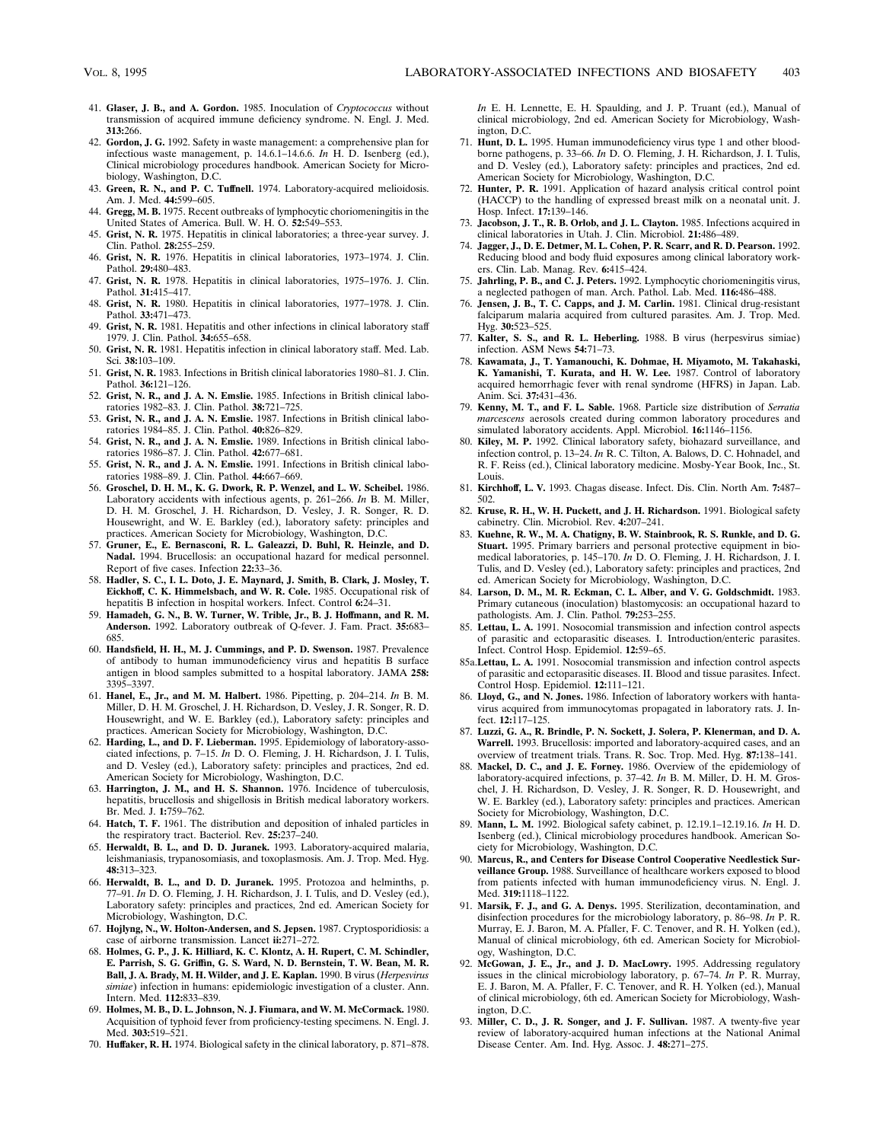- 41. **Glaser, J. B., and A. Gordon.** 1985. Inoculation of *Cryptococcus* without transmission of acquired immune deficiency syndrome. N. Engl. J. Med. **313:**266.
- 42. **Gordon, J. G.** 1992. Safety in waste management: a comprehensive plan for infectious waste management, p. 14.6.1–14.6.6. *In* H. D. Isenberg (ed.), Clinical microbiology procedures handbook. American Society for Microbiology, Washington, D.C.
- 43. **Green, R. N., and P. C. Tuffnell.** 1974. Laboratory-acquired melioidosis. Am. J. Med. **44:**599–605.
- 44. **Gregg, M. B.** 1975. Recent outbreaks of lymphocytic choriomeningitis in the United States of America. Bull. W. H. O. **52:**549–553.
- 45. **Grist, N. R.** 1975. Hepatitis in clinical laboratories; a three-year survey. J. Clin. Pathol. **28:**255–259.
- 46. **Grist, N. R.** 1976. Hepatitis in clinical laboratories, 1973–1974. J. Clin. Pathol. **29:**480–483.
- 47. **Grist, N. R.** 1978. Hepatitis in clinical laboratories, 1975–1976. J. Clin. Pathol. **31:**415–417.
- 48. **Grist, N. R.** 1980. Hepatitis in clinical laboratories, 1977–1978. J. Clin. Pathol. **33:**471–473.
- 49. **Grist, N. R.** 1981. Hepatitis and other infections in clinical laboratory staff 1979. J. Clin. Pathol. **34:**655–658.
- 50. **Grist, N. R.** 1981. Hepatitis infection in clinical laboratory staff. Med. Lab. Sci. **38:**103–109.
- 51. **Grist, N. R.** 1983. Infections in British clinical laboratories 1980–81. J. Clin. Pathol. **36:**121–126.
- 52. **Grist, N. R., and J. A. N. Emslie.** 1985. Infections in British clinical laboratories 1982–83. J. Clin. Pathol. **38:**721–725.
- 53. **Grist, N. R., and J. A. N. Emslie.** 1987. Infections in British clinical laboratories 1984–85. J. Clin. Pathol. **40:**826–829.
- 54. **Grist, N. R., and J. A. N. Emslie.** 1989. Infections in British clinical laboratories 1986–87. J. Clin. Pathol. **42:**677–681.
- 55. **Grist, N. R., and J. A. N. Emslie.** 1991. Infections in British clinical laboratories 1988–89. J. Clin. Pathol. **44:**667–669.
- 56. **Groschel, D. H. M., K. G. Dwork, R. P. Wenzel, and L. W. Scheibel.** 1986. Laboratory accidents with infectious agents, p. 261–266. *In* B. M. Miller, D. H. M. Groschel, J. H. Richardson, D. Vesley, J. R. Songer, R. D. Housewright, and W. E. Barkley (ed.), laboratory safety: principles and practices. American Society for Microbiology, Washington, D.C.
- 57. **Gruner, E., E. Bernasconi, R. L. Galeazzi, D. Buhl, R. Heinzle, and D. Nadal.** 1994. Brucellosis: an occupational hazard for medical personnel. Report of five cases. Infection **22:**33–36.
- 58. **Hadler, S. C., I. L. Doto, J. E. Maynard, J. Smith, B. Clark, J. Mosley, T. Eickhoff, C. K. Himmelsbach, and W. R. Cole.** 1985. Occupational risk of hepatitis B infection in hospital workers. Infect. Control **6:**24–31.
- 59. **Hamadeh, G. N., B. W. Turner, W. Trible, Jr., B. J. Hoffmann, and R. M. Anderson.** 1992. Laboratory outbreak of Q-fever. J. Fam. Pract. **35:**683– 685.
- 60. **Handsfield, H. H., M. J. Cummings, and P. D. Swenson.** 1987. Prevalence of antibody to human immunodeficiency virus and hepatitis B surface antigen in blood samples submitted to a hospital laboratory. JAMA **258:** 3395–3397.
- 61. **Hanel, E., Jr., and M. M. Halbert.** 1986. Pipetting, p. 204–214. *In* B. M. Miller, D. H. M. Groschel, J. H. Richardson, D. Vesley, J. R. Songer, R. D. Housewright, and W. E. Barkley (ed.), Laboratory safety: principles and practices. American Society for Microbiology, Washington, D.C.
- 62. **Harding, L., and D. F. Lieberman.** 1995. Epidemiology of laboratory-associated infections, p. 7–15. *In* D. O. Fleming, J. H. Richardson, J. I. Tulis, and D. Vesley (ed.), Laboratory safety: principles and practices, 2nd ed. American Society for Microbiology, Washington, D.C.
- 63. **Harrington, J. M., and H. S. Shannon.** 1976. Incidence of tuberculosis, hepatitis, brucellosis and shigellosis in British medical laboratory workers. Br. Med. J. **1:**759–762.
- 64. **Hatch, T. F.** 1961. The distribution and deposition of inhaled particles in the respiratory tract. Bacteriol. Rev. **25:**237–240.
- 65. **Herwaldt, B. L., and D. D. Juranek.** 1993. Laboratory-acquired malaria, leishmaniasis, trypanosomiasis, and toxoplasmosis. Am. J. Trop. Med. Hyg. **48:**313–323.
- 66. **Herwaldt, B. L., and D. D. Juranek.** 1995. Protozoa and helminths, p. 77–91. *In* D. O. Fleming, J. H. Richardson, J. I. Tulis, and D. Vesley (ed.), Laboratory safety: principles and practices, 2nd ed. American Society for Microbiology, Washington, D.C.
- 67. **Hojlyng, N., W. Holton-Andersen, and S. Jepsen.** 1987. Cryptosporidiosis: a case of airborne transmission. Lancet **ii:**271–272.
- 68. **Holmes, G. P., J. K. Hilliard, K. C. Klontz, A. H. Rupert, C. M. Schindler, E. Parrish, S. G. Griffin, G. S. Ward, N. D. Bernstein, T. W. Bean, M. R. Ball, J. A. Brady, M. H. Wilder, and J. E. Kaplan.** 1990. B virus (*Herpesvirus simiae*) infection in humans: epidemiologic investigation of a cluster. Ann. Intern. Med. **112:**833–839.
- 69. **Holmes, M. B., D. L. Johnson, N. J. Fiumara, and W. M. McCormack.** 1980. Acquisition of typhoid fever from proficiency-testing specimens. N. Engl. J. Med. **303:**519–521.
- 70. **Huffaker, R. H.** 1974. Biological safety in the clinical laboratory, p. 871–878.

In E. H. Lennette, E. H. Spaulding, and J. P. Truant (ed.), Manual of clinical microbiology, 2nd ed. American Society for Microbiology, Washington, D.C.

- 71. **Hunt, D. L.** 1995. Human immunodeficiency virus type 1 and other bloodborne pathogens, p. 33–66. *In* D. O. Fleming, J. H. Richardson, J. I. Tulis, and D. Vesley (ed.), Laboratory safety: principles and practices, 2nd ed. American Society for Microbiology, Washington, D.C.
- 72. **Hunter, P. R.** 1991. Application of hazard analysis critical control point (HACCP) to the handling of expressed breast milk on a neonatal unit. J. Hosp. Infect. **17:**139–146.
- 73. **Jacobson, J. T., R. B. Orlob, and J. L. Clayton.** 1985. Infections acquired in clinical laboratories in Utah. J. Clin. Microbiol. **21:**486–489.
- 74. **Jagger, J., D. E. Detmer, M. L. Cohen, P. R. Scarr, and R. D. Pearson.** 1992. Reducing blood and body fluid exposures among clinical laboratory workers. Clin. Lab. Manag. Rev. **6:**415–424.
- 75. **Jahrling, P. B., and C. J. Peters.** 1992. Lymphocytic choriomeningitis virus, a neglected pathogen of man. Arch. Pathol. Lab. Med. **116:**486–488.
- Jensen, J. B., T. C. Capps, and J. M. Carlin. 1981. Clinical drug-resistant falciparum malaria acquired from cultured parasites. Am. J. Trop. Med. Hyg. **30:**523–525.
- 77. **Kalter, S. S., and R. L. Heberling.** 1988. B virus (herpesvirus simiae) infection. ASM News **54:**71–73.
- 78. **Kawamata, J., T. Yamanouchi, K. Dohmae, H. Miyamoto, M. Takahaski, K. Yamanishi, T. Kurata, and H. W. Lee.** 1987. Control of laboratory acquired hemorrhagic fever with renal syndrome (HFRS) in Japan. Lab. Anim. Sci. **37:**431–436.
- 79. **Kenny, M. T., and F. L. Sable.** 1968. Particle size distribution of *Serratia marcescens* aerosols created during common laboratory procedures and simulated laboratory accidents. Appl. Microbiol. **16:**1146–1156.
- 80. **Kiley, M. P.** 1992. Clinical laboratory safety, biohazard surveillance, and infection control, p. 13–24. *In* R. C. Tilton, A. Balows, D. C. Hohnadel, and R. F. Reiss (ed.), Clinical laboratory medicine. Mosby-Year Book, Inc., St. Louis.
- 81. **Kirchhoff, L. V.** 1993. Chagas disease. Infect. Dis. Clin. North Am. **7:**487– 502.
- 82. **Kruse, R. H., W. H. Puckett, and J. H. Richardson.** 1991. Biological safety cabinetry. Clin. Microbiol. Rev. **4:**207–241.
- 83. **Kuehne, R. W., M. A. Chatigny, B. W. Stainbrook, R. S. Runkle, and D. G. Stuart.** 1995. Primary barriers and personal protective equipment in biomedical laboratories, p. 145–170. *In* D. O. Fleming, J. H. Richardson, J. I. Tulis, and D. Vesley (ed.), Laboratory safety: principles and practices, 2nd ed. American Society for Microbiology, Washington, D.C.
- 84. **Larson, D. M., M. R. Eckman, C. L. Alber, and V. G. Goldschmidt.** 1983. Primary cutaneous (inoculation) blastomycosis: an occupational hazard to pathologists. Am. J. Clin. Pathol. **79:**253–255.
- 85. **Lettau, L. A.** 1991. Nosocomial transmission and infection control aspects of parasitic and ectoparasitic diseases. I. Introduction/enteric parasites. Infect. Control Hosp. Epidemiol. **12:**59–65.
- 85a.**Lettau, L. A.** 1991. Nosocomial transmission and infection control aspects of parasitic and ectoparasitic diseases. II. Blood and tissue parasites. Infect. Control Hosp. Epidemiol. **12:**111–121.
- 86. **Lloyd, G., and N. Jones.** 1986. Infection of laboratory workers with hantavirus acquired from immunocytomas propagated in laboratory rats. J. Infect. **12:**117–125.
- 87. **Luzzi, G. A., R. Brindle, P. N. Sockett, J. Solera, P. Klenerman, and D. A. Warrell.** 1993. Brucellosis: imported and laboratory-acquired cases, and an overview of treatment trials. Trans. R. Soc. Trop. Med. Hyg. **87:**138–141.
- 88. **Mackel, D. C., and J. E. Forney.** 1986. Overview of the epidemiology of laboratory-acquired infections, p. 37–42. *In* B. M. Miller, D. H. M. Gros-chel, J. H. Richardson, D. Vesley, J. R. Songer, R. D. Housewright, and W. E. Barkley (ed.), Laboratory safety: principles and practices. American Society for Microbiology, Washington, D.C.
- 89. **Mann, L. M.** 1992. Biological safety cabinet, p. 12.19.1–12.19.16. *In* H. D. Isenberg (ed.), Clinical microbiology procedures handbook. American Society for Microbiology, Washington, D.C.
- 90. **Marcus, R., and Centers for Disease Control Cooperative Needlestick Surveillance Group.** 1988. Surveillance of healthcare workers exposed to blood from patients infected with human immunodeficiency virus. N. Engl. J. Med. **319:**1118–1122.
- 91. **Marsik, F. J., and G. A. Denys.** 1995. Sterilization, decontamination, and disinfection procedures for the microbiology laboratory, p. 86–98. *In* P. R. Murray, E. J. Baron, M. A. Pfaller, F. C. Tenover, and R. H. Yolken (ed.), Manual of clinical microbiology, 6th ed. American Society for Microbiology, Washington, D.C.
- 92. **McGowan, J. E., Jr., and J. D. MacLowry.** 1995. Addressing regulatory issues in the clinical microbiology laboratory, p. 67–74. *In* P. R. Murray, E. J. Baron, M. A. Pfaller, F. C. Tenover, and R. H. Yolken (ed.), Manual of clinical microbiology, 6th ed. American Society for Microbiology, Washington, D.C.
- 93. **Miller, C. D., J. R. Songer, and J. F. Sullivan.** 1987. A twenty-five year review of laboratory-acquired human infections at the National Animal Disease Center. Am. Ind. Hyg. Assoc. J. **48:**271–275.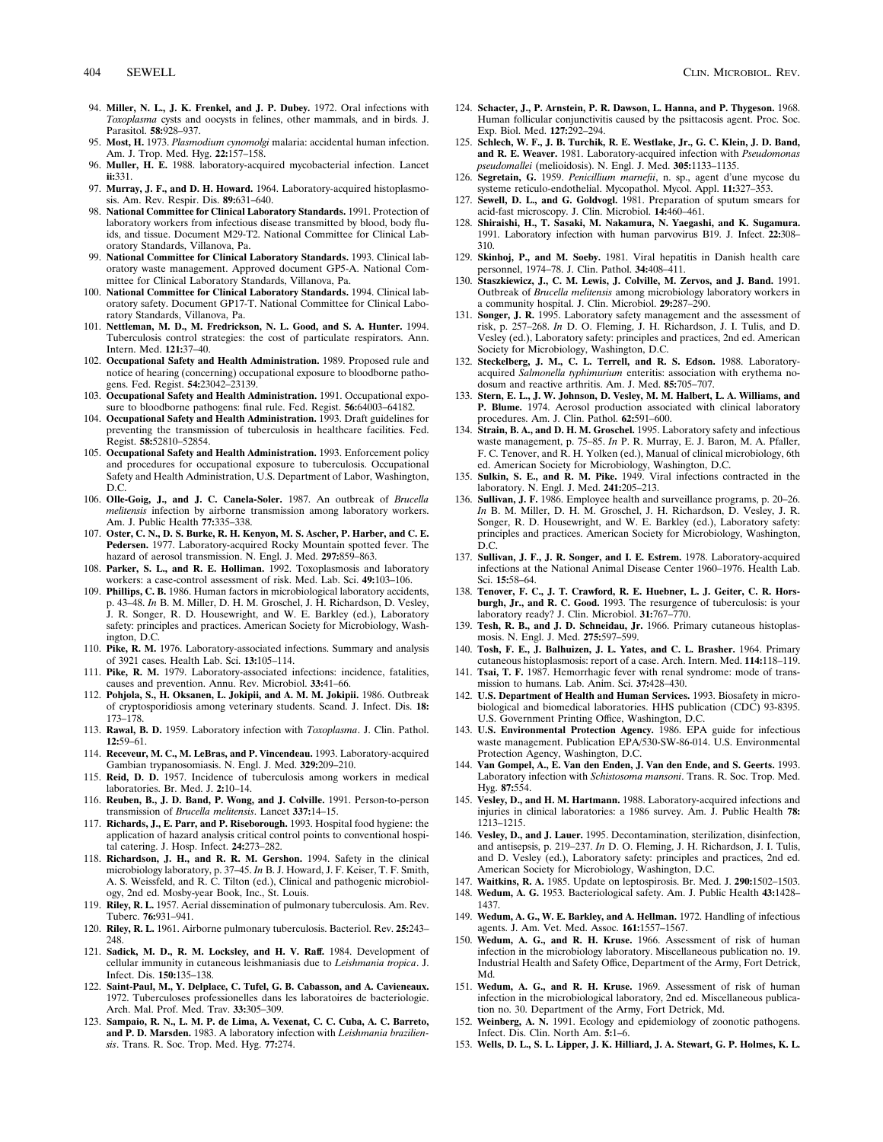- 94. **Miller, N. L., J. K. Frenkel, and J. P. Dubey.** 1972. Oral infections with *Toxoplasma* cysts and oocysts in felines, other mammals, and in birds. J. Parasitol. **58:**928–937.
- 95. **Most, H.** 1973. *Plasmodium cynomolgi* malaria: accidental human infection. Am. J. Trop. Med. Hyg. **22:**157–158.
- 96. **Muller, H. E.** 1988. laboratory-acquired mycobacterial infection. Lancet **ii:**331.
- 97. **Murray, J. F., and D. H. Howard.** 1964. Laboratory-acquired histoplasmosis. Am. Rev. Respir. Dis. **89:**631–640.
- 98. **National Committee for Clinical Laboratory Standards.** 1991. Protection of laboratory workers from infectious disease transmitted by blood, body fluids, and tissue. Document M29-T2. National Committee for Clinical Laboratory Standards, Villanova, Pa.
- 99. **National Committee for Clinical Laboratory Standards.** 1993. Clinical laboratory waste management. Approved document GP5-A. National Committee for Clinical Laboratory Standards, Villanova, Pa.
- 100. **National Committee for Clinical Laboratory Standards.** 1994. Clinical laboratory safety. Document GP17-T. National Committee for Clinical Laboratory Standards, Villanova, Pa.
- 101. **Nettleman, M. D., M. Fredrickson, N. L. Good, and S. A. Hunter.** 1994. Tuberculosis control strategies: the cost of particulate respirators. Ann. Intern. Med. **121:**37–40.
- 102. **Occupational Safety and Health Administration.** 1989. Proposed rule and notice of hearing (concerning) occupational exposure to bloodborne patho-gens. Fed. Regist. **54:**23042–23139.
- 103. **Occupational Safety and Health Administration.** 1991. Occupational exposure to bloodborne pathogens: final rule. Fed. Regist. **56:**64003–64182.
- 104. **Occupational Safety and Health Administration.** 1993. Draft guidelines for preventing the transmission of tuberculosis in healthcare facilities. Fed. Regist. **58:**52810–52854.
- 105. **Occupational Safety and Health Administration.** 1993. Enforcement policy and procedures for occupational exposure to tuberculosis. Occupational Safety and Health Administration, U.S. Department of Labor, Washington, D.C.
- 106. **Olle-Goig, J., and J. C. Canela-Soler.** 1987. An outbreak of *Brucella melitensis* infection by airborne transmission among laboratory workers. Am. J. Public Health **77:**335–338.
- 107. **Oster, C. N., D. S. Burke, R. H. Kenyon, M. S. Ascher, P. Harber, and C. E. Pedersen.** 1977. Laboratory-acquired Rocky Mountain spotted fever. The hazard of aerosol transmission. N. Engl. J. Med. **297:**859–863.
- 108. **Parker, S. L., and R. E. Holliman.** 1992. Toxoplasmosis and laboratory workers: a case-control assessment of risk. Med. Lab. Sci. **49:**103–106.
- 109. **Phillips, C. B.** 1986. Human factors in microbiological laboratory accidents, p. 43–48. *In* B. M. Miller, D. H. M. Groschel, J. H. Richardson, D. Vesley, J. R. Songer, R. D. Housewright, and W. E. Barkley (ed.), Laboratory safety: principles and practices. American Society for Microbiology, Washington, D.C.
- 110. **Pike, R. M.** 1976. Laboratory-associated infections. Summary and analysis of 3921 cases. Health Lab. Sci. **13:**105–114.
- 111. **Pike, R. M.** 1979. Laboratory-associated infections: incidence, fatalities, causes and prevention. Annu. Rev. Microbiol. **33:**41–66.
- 112. **Pohjola, S., H. Oksanen, L. Jokipii, and A. M. M. Jokipii.** 1986. Outbreak of cryptosporidiosis among veterinary students. Scand. J. Infect. Dis. **18:** 173–178.
- 113. **Rawal, B. D.** 1959. Laboratory infection with *Toxoplasma*. J. Clin. Pathol. **12:**59–61.
- 114. **Receveur, M. C., M. LeBras, and P. Vincendeau.** 1993. Laboratory-acquired Gambian trypanosomiasis. N. Engl. J. Med. **329:**209–210.
- 115. **Reid, D. D.** 1957. Incidence of tuberculosis among workers in medical laboratories. Br. Med. J. **2:**10–14.
- 116. **Reuben, B., J. D. Band, P. Wong, and J. Colville.** 1991. Person-to-person transmission of *Brucella melitensis*. Lancet **337:**14–15.
- 117. **Richards, J., E. Parr, and P. Riseborough.** 1993. Hospital food hygiene: the application of hazard analysis critical control points to conventional hospital catering. J. Hosp. Infect. **24:**273–282.
- 118. **Richardson, J. H., and R. R. M. Gershon.** 1994. Safety in the clinical microbiology laboratory, p. 37–45. *In* B. J. Howard, J. F. Keiser, T. F. Smith, A. S. Weissfeld, and R. C. Tilton (ed.), Clinical and pathogenic microbiology, 2nd ed. Mosby-year Book, Inc., St. Louis.
- 119. **Riley, R. L.** 1957. Aerial dissemination of pulmonary tuberculosis. Am. Rev. Tuberc. **76:**931–941.
- 120. **Riley, R. L.** 1961. Airborne pulmonary tuberculosis. Bacteriol. Rev. **25:**243– 248.
- 121. **Sadick, M. D., R. M. Locksley, and H. V. Raff.** 1984. Development of cellular immunity in cutaneous leishmaniasis due to *Leishmania tropica*. J. Infect. Dis. **150:**135–138.
- 122. **Saint-Paul, M., Y. Delplace, C. Tufel, G. B. Cabasson, and A. Cavieneaux.** 1972. Tuberculoses professionelles dans les laboratoires de bacteriologie. Arch. Mal. Prof. Med. Trav. **33:**305–309.
- 123. **Sampaio, R. N., L. M. P. de Lima, A. Vexenat, C. C. Cuba, A. C. Barreto, and P. D. Marsden.** 1983. A laboratory infection with *Leishmania braziliensis*. Trans. R. Soc. Trop. Med. Hyg. **77:**274.
- 124. **Schacter, J., P. Arnstein, P. R. Dawson, L. Hanna, and P. Thygeson.** 1968. Human follicular conjunctivitis caused by the psittacosis agent. Proc. Soc. Exp. Biol. Med. **127:**292–294.
- 125. **Schlech, W. F., J. B. Turchik, R. E. Westlake, Jr., G. C. Klein, J. D. Band, and R. E. Weaver.** 1981. Laboratory-acquired infection with *Pseudomonas pseudomallei* (melioidosis). N. Engl. J. Med. **305:**1133–1135.
- 126. **Segretain, G.** 1959. *Penicillium marnefii*, n. sp., agent d'une mycose du systeme reticulo-endothelial. Mycopathol. Mycol. Appl. **11:**327–353.
- 127. **Sewell, D. L., and G. Goldvogl.** 1981. Preparation of sputum smears for acid-fast microscopy. J. Clin. Microbiol. **14:**460–461.
- 128. **Shiraishi, H., T. Sasaki, M. Nakamura, N. Yaegashi, and K. Sugamura.** 1991. Laboratory infection with human parvovirus B19. J. Infect. **22:**308– 310.
- 129. **Skinhoj, P., and M. Soeby.** 1981. Viral hepatitis in Danish health care personnel, 1974–78. J. Clin. Pathol. **34:**408–411.
- 130. **Staszkiewicz, J., C. M. Lewis, J. Colville, M. Zervos, and J. Band.** 1991. Outbreak of *Brucella melitensis* among microbiology laboratory workers in a community hospital. J. Clin. Microbiol. **29:**287–290.
- 131. **Songer, J. R.** 1995. Laboratory safety management and the assessment of risk, p. 257–268. *In* D. O. Fleming, J. H. Richardson, J. I. Tulis, and D. Vesley (ed.), Laboratory safety: principles and practices, 2nd ed. American
- Society for Microbiology, Washington, D.C. 132. **Steckelberg, J. M., C. L. Terrell, and R. S. Edson.** 1988. Laboratoryacquired *Salmonella typhimurium* enteritis: association with erythema nodosum and reactive arthritis. Am. J. Med. **85:**705–707.
- 133. **Stern, E. L., J. W. Johnson, D. Vesley, M. M. Halbert, L. A. Williams, and P. Blume.** 1974. Aerosol production associated with clinical laboratory procedures. Am. J. Clin. Pathol. **62:**591–600.
- 134. **Strain, B. A., and D. H. M. Groschel.** 1995. Laboratory safety and infectious waste management, p. 75–85. *In* P. R. Murray, E. J. Baron, M. A. Pfaller, F. C. Tenover, and R. H. Yolken (ed.), Manual of clinical microbiology, 6th ed. American Society for Microbiology, Washington, D.C.
- 135. **Sulkin, S. E., and R. M. Pike.** 1949. Viral infections contracted in the laboratory. N. Engl. J. Med. **241:**205–213.
- 136. **Sullivan, J. F.** 1986. Employee health and surveillance programs, p. 20–26. *In* B. M. Miller, D. H. M. Groschel, J. H. Richardson, D. Vesley, J. R. Songer, R. D. Housewright, and W. E. Barkley (ed.), Laboratory safety: principles and practices. American Society for Microbiology, Washington, D.C.
- 137. **Sullivan, J. F., J. R. Songer, and I. E. Estrem.** 1978. Laboratory-acquired infections at the National Animal Disease Center 1960–1976. Health Lab. Sci. **15:**58–64.
- 138. **Tenover, F. C., J. T. Crawford, R. E. Huebner, L. J. Geiter, C. R. Horsburgh, Jr., and R. C. Good.** 1993. The resurgence of tuberculosis: is your laboratory ready? J. Clin. Microbiol. **31:**767–770.
- 139. **Tesh, R. B., and J. D. Schneidau, Jr.** 1966. Primary cutaneous histoplasmosis. N. Engl. J. Med. **275:**597–599.
- 140. **Tosh, F. E., J. Balhuizen, J. L. Yates, and C. L. Brasher.** 1964. Primary cutaneous histoplasmosis: report of a case. Arch. Intern. Med. **114:**118–119.
- 141. **Tsai, T. F.** 1987. Hemorrhagic fever with renal syndrome: mode of transmission to humans. Lab. Anim. Sci. **37:**428–430.
- 142. **U.S. Department of Health and Human Services.** 1993. Biosafety in microbiological and biomedical laboratories. HHS publication (CDC) 93-8395. U.S. Government Printing Office, Washington, D.C.
- 143. **U.S. Environmental Protection Agency.** 1986. EPA guide for infectious waste management. Publication EPA/530-SW-86-014. U.S. Environmental Protection Agency, Washington, D.C.
- 144. **Van Gompel, A., E. Van den Enden, J. Van den Ende, and S. Geerts.** 1993. Laboratory infection with *Schistosoma mansoni*. Trans. R. Soc. Trop. Med. Hyg. **87:**554.
- 145. **Vesley, D., and H. M. Hartmann.** 1988. Laboratory-acquired infections and injuries in clinical laboratories: a 1986 survey. Am. J. Public Health **78:** 1213–1215.
- 146. **Vesley, D., and J. Lauer.** 1995. Decontamination, sterilization, disinfection, and antisepsis, p. 219–237. *In* D. O. Fleming, J. H. Richardson, J. I. Tulis, and D. Vesley (ed.), Laboratory safety: principles and practices, 2nd ed. American Society for Microbiology, Washington, D.C.
- 147. **Waitkins, R. A.** 1985. Update on leptospirosis. Br. Med. J. **290:**1502–1503.
- 148. **Wedum, A. G.** 1953. Bacteriological safety. Am. J. Public Health **43:**1428–
- 1437. 149. **Wedum, A. G., W. E. Barkley, and A. Hellman.** 1972. Handling of infectious
- agents. J. Am. Vet. Med. Assoc. **161:**1557–1567. 150. **Wedum, A. G., and R. H. Kruse.** 1966. Assessment of risk of human infection in the microbiology laboratory. Miscellaneous publication no. 19. Industrial Health and Safety Office, Department of the Army, Fort Detrick, Md.
- 151. **Wedum, A. G., and R. H. Kruse.** 1969. Assessment of risk of human infection in the microbiological laboratory, 2nd ed. Miscellaneous publication no. 30. Department of the Army, Fort Detrick, Md.
- 152. **Weinberg, A. N.** 1991. Ecology and epidemiology of zoonotic pathogens. Infect. Dis. Clin. North Am. **5:**1–6.
- 153. **Wells, D. L., S. L. Lipper, J. K. Hilliard, J. A. Stewart, G. P. Holmes, K. L.**